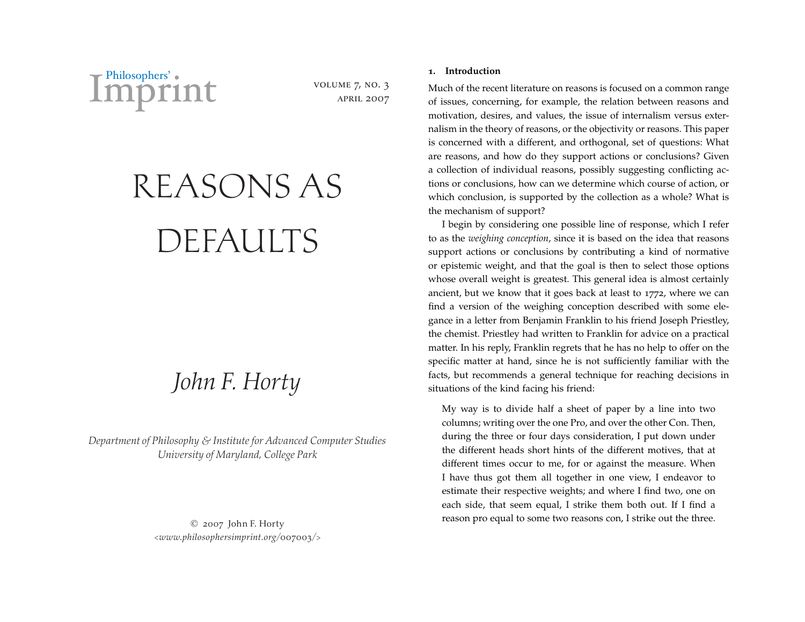

**VOLUME 7, NO. 3 APRIL 2007** 

# REASONS AS DEFAULTS

## *John F. Horty*

*Department of Philosophy & Institute for Advanced Computer Studies University of Maryland, College Park*

> $© 2007$  John F. Horty *<www.philosophersimprint.org//>*

Much of the recent literature on reasons is focused on a common range of issues, concerning, for example, the relation between reasons and motivation, desires, and values, the issue of internalism versus externalism in the theory of reasons, or the objectivity or reasons. This paper is concerned with a different, and orthogonal, set of questions: What are reasons, and how do they support actions or conclusions? Given a collection of individual reasons, possibly suggesting conflicting actions or conclusions, how can we determine which course of action, or which conclusion, is supported by the collection as a whole? What is the mechanism of support?

I begin by considering one possible line of response, which I refer to as the *weighing conception*, since it is based on the idea that reasons support actions or conclusions by contributing a kind of normative or epistemic weight, and that the goal is then to select those options whose overall weight is greatest. This general idea is almost certainly ancient, but we know that it goes back at least to 1772, where we can find a version of the weighing conception described with some elegance in a letter from Benjamin Franklin to his friend Joseph Priestley, the chemist. Priestley had written to Franklin for advice on a practical matter. In his reply, Franklin regrets that he has no help to offer on the specific matter at hand, since he is not sufficiently familiar with the facts, but recommends a general technique for reaching decisions in situations of the kind facing his friend:

My way is to divide half a sheet of paper by a line into two columns; writing over the one Pro, and over the other Con. Then, during the three or four days consideration, I put down under the different heads short hints of the different motives, that at different times occur to me, for or against the measure. When I have thus got them all together in one view, I endeavor to estimate their respective weights; and where I find two, one on each side, that seem equal, I strike them both out. If I find a reason pro equal to some two reasons con, I strike out the three.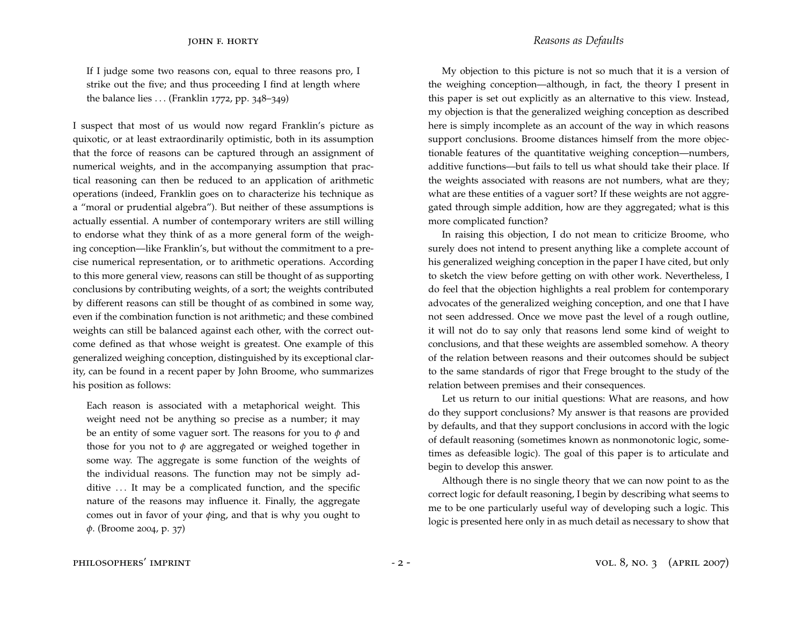If I judge some two reasons con, equal to three reasons pro, I strike out the five; and thus proceeding I find at length where the balance lies . . . (Franklin [1772](#page-27-0), pp. 348–349)

I suspect that most of us would now regard Franklin's picture as quixotic, or at least extraordinarily optimistic, both in its assumption that the force of reasons can be captured through an assignment of numerical weights, and in the accompanying assumption that practical reasoning can then be reduced to an application of arithmetic operations (indeed, Franklin goes on to characterize his technique as a "moral or prudential algebra"). But neither of these assumptions is actually essential. A number of contemporary writers are still willing to endorse what they think of as a more general form of the weighing conception—like Franklin's, but without the commitment to a precise numerical representation, or to arithmetic operations. According to this more general view, reasons can still be thought of as supporting conclusions by contributing weights, of a sort; the weights contributed by different reasons can still be thought of as combined in some way, even if the combination function is not arithmetic; and these combined weights can still be balanced against each other, with the correct outcome defined as that whose weight is greatest. One example of this generalized weighing conception, distinguished by its exceptional clarity, can be found in a recent paper by John Broome, who summarizes his position as follows:

Each reason is associated with a metaphorical weight. This weight need not be anything so precise as a number; it may be an entity of some vaguer sort. The reasons for you to *φ* and those for you not to  $\phi$  are aggregated or weighed together in some way. The aggregate is some function of the weights of the individual reasons. The function may not be simply additive ... It may be a complicated function, and the specific nature of the reasons may influence it. Finally, the aggregate comes out in favor of your *φ*ing, and that is why you ought to *φ*. (Broome [2004](#page-26-0), p. 37)

My objection to this picture is not so much that it is a version of the weighing conception—although, in fact, the theory I present in this paper is set out explicitly as an alternative to this view. Instead, my objection is that the generalized weighing conception as described here is simply incomplete as an account of the way in which reasons support conclusions. Broome distances himself from the more objectionable features of the quantitative weighing conception—numbers, additive functions—but fails to tell us what should take their place. If the weights associated with reasons are not numbers, what are they; what are these entities of a vaguer sort? If these weights are not aggregated through simple addition, how are they aggregated; what is this more complicated function?

In raising this objection, I do not mean to criticize Broome, who surely does not intend to present anything like a complete account of his generalized weighing conception in the paper I have cited, but only to sketch the view before getting on with other work. Nevertheless, I do feel that the objection highlights a real problem for contemporary advocates of the generalized weighing conception, and one that I have not seen addressed. Once we move past the level of a rough outline, it will not do to say only that reasons lend some kind of weight to conclusions, and that these weights are assembled somehow. A theory of the relation between reasons and their outcomes should be subject to the same standards of rigor that Frege brought to the study of the relation between premises and their consequences.

Let us return to our initial questions: What are reasons, and how do they support conclusions? My answer is that reasons are provided by defaults, and that they support conclusions in accord with the logic of default reasoning (sometimes known as nonmonotonic logic, sometimes as defeasible logic). The goal of this paper is to articulate and begin to develop this answer.

Although there is no single theory that we can now point to as the correct logic for default reasoning, I begin by describing what seems to me to be one particularly useful way of developing such a logic. This logic is presented here only in as much detail as necessary to show that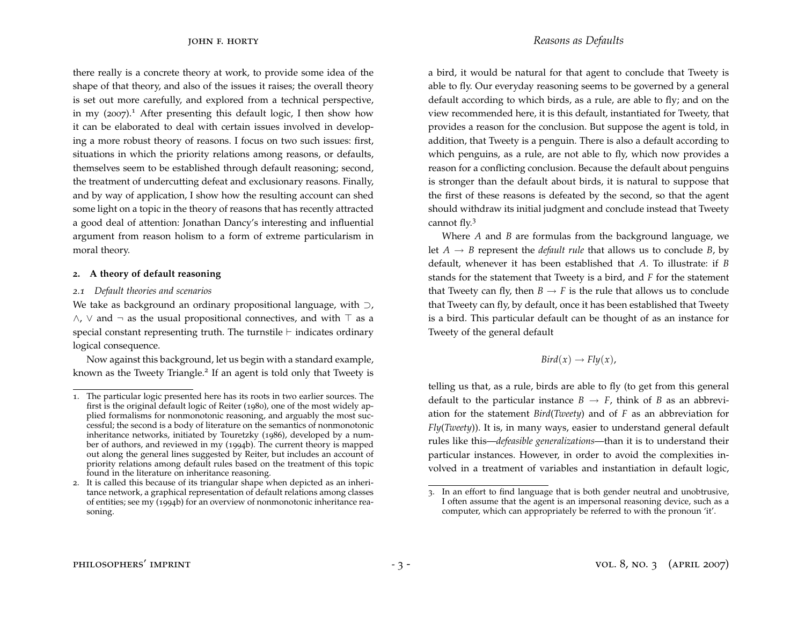there really is a concrete theory at work, to provide some idea of the shape of that theory, and also of the issues it raises; the overall theory is set out more carefully, and explored from a technical perspective, in my  $(2007)$  $(2007)$  $(2007)$ .<sup>1</sup> After presenting this default logic, I then show how it can be elaborated to deal with certain issues involved in developing a more robust theory of reasons. I focus on two such issues: first, situations in which the priority relations among reasons, or defaults, themselves seem to be established through default reasoning; second, the treatment of undercutting defeat and exclusionary reasons. Finally, and by way of application, I show how the resulting account can shed some light on a topic in the theory of reasons that has recently attracted a good deal of attention: Jonathan Dancy's interesting and influential argument from reason holism to a form of extreme particularism in moral theory.

#### **2. A theory of default reasoning**

#### *2.1 Default theories and scenarios*

We take as background an ordinary propositional language, with ⊃,  $\land$ ,  $\lor$  and  $\neg$  as the usual propositional connectives, and with  $\top$  as a special constant representing truth. The turnstile  $\vdash$  indicates ordinary logical consequence.

Now against this background, let us begin with a standard example, known as the Tweety Triangle.<sup>2</sup> If an agent is told only that Tweety is a bird, it would be natural for that agent to conclude that Tweety is able to fly. Our everyday reasoning seems to be governed by a general default according to which birds, as a rule, are able to fly; and on the view recommended here, it is this default, instantiated for Tweety, that provides a reason for the conclusion. But suppose the agent is told, in addition, that Tweety is a penguin. There is also a default according to which penguins, as a rule, are not able to fly, which now provides a reason for a conflicting conclusion. Because the default about penguins is stronger than the default about birds, it is natural to suppose that the first of these reasons is defeated by the second, so that the agent should withdraw its initial judgment and conclude instead that Tweety cannot fly. 3

Where *A* and *B* are formulas from the background language, we let  $A \rightarrow B$  represent the *default* rule that allows us to conclude *B*, by default, whenever it has been established that *A*. To illustrate: if *B* stands for the statement that Tweety is a bird, and *F* for the statement that Tweety can fly, then  $B \to F$  is the rule that allows us to conclude that Tweety can fly, by default, once it has been established that Tweety is a bird. This particular default can be thought of as an instance for Tweety of the general default

$$
Bird(x) \rightarrow Fly(x),
$$

telling us that, as a rule, birds are able to fly (to get from this general default to the particular instance  $B \rightarrow F$ , think of *B* as an abbreviation for the statement *Bird*(*Tweety*) and of *F* as an abbreviation for *Fly*(*Tweety*)). It is, in many ways, easier to understand general default rules like this—*defeasible generalizations*—than it is to understand their particular instances. However, in order to avoid the complexities involved in a treatment of variables and instantiation in default logic,

<sup>1</sup>. The particular logic presented here has its roots in two earlier sources. The first is the original default logic of Reiter ([1980](#page-27-2)), one of the most widely applied formalisms for nonmonotonic reasoning, and arguably the most successful; the second is a body of literature on the semantics of nonmonotonic inheritance networks, initiated by Touretzky ([1986](#page-27-3)), developed by a number of authors, and reviewed in my ([1994](#page-27-4)b). The current theory is mapped out along the general lines suggested by Reiter, but includes an account of priority relations among default rules based on the treatment of this topic found in the literature on inheritance reasoning.

<sup>2</sup>. It is called this because of its triangular shape when depicted as an inheritance network, a graphical representation of default relations among classes of entities; see my ([1994](#page-27-4)b) for an overview of nonmonotonic inheritance reasoning.

<sup>3</sup>. In an effort to find language that is both gender neutral and unobtrusive, I often assume that the agent is an impersonal reasoning device, such as a computer, which can appropriately be referred to with the pronoun 'it'.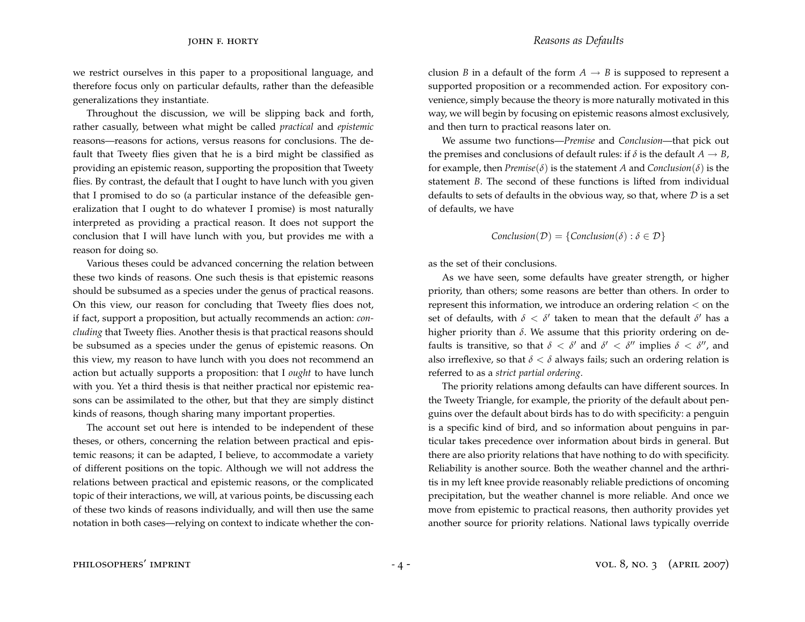we restrict ourselves in this paper to a propositional language, and therefore focus only on particular defaults, rather than the defeasible generalizations they instantiate.

Throughout the discussion, we will be slipping back and forth, rather casually, between what might be called *practical* and *epistemic* reasons—reasons for actions, versus reasons for conclusions. The default that Tweety flies given that he is a bird might be classified as providing an epistemic reason, supporting the proposition that Tweety flies. By contrast, the default that I ought to have lunch with you given that I promised to do so (a particular instance of the defeasible generalization that I ought to do whatever I promise) is most naturally interpreted as providing a practical reason. It does not support the conclusion that I will have lunch with you, but provides me with a reason for doing so.

Various theses could be advanced concerning the relation between these two kinds of reasons. One such thesis is that epistemic reasons should be subsumed as a species under the genus of practical reasons. On this view, our reason for concluding that Tweety flies does not, if fact, support a proposition, but actually recommends an action: *concluding* that Tweety flies. Another thesis is that practical reasons should be subsumed as a species under the genus of epistemic reasons. On this view, my reason to have lunch with you does not recommend an action but actually supports a proposition: that I *ought* to have lunch with you. Yet a third thesis is that neither practical nor epistemic reasons can be assimilated to the other, but that they are simply distinct kinds of reasons, though sharing many important properties.

The account set out here is intended to be independent of these theses, or others, concerning the relation between practical and epistemic reasons; it can be adapted, I believe, to accommodate a variety of different positions on the topic. Although we will not address the relations between practical and epistemic reasons, or the complicated topic of their interactions, we will, at various points, be discussing each of these two kinds of reasons individually, and will then use the same notation in both cases—relying on context to indicate whether the conclusion *B* in a default of the form  $A \rightarrow B$  is supposed to represent a supported proposition or a recommended action. For expository convenience, simply because the theory is more naturally motivated in this way, we will begin by focusing on epistemic reasons almost exclusively,

We assume two functions—*Premise* and *Conclusion*—that pick out the premises and conclusions of default rules: if  $\delta$  is the default  $A \rightarrow B$ , for example, then *Premise*(*δ*) is the statement *A* and *Conclusion*(*δ*) is the statement *B*. The second of these functions is lifted from individual defaults to sets of defaults in the obvious way, so that, where  $D$  is a set of defaults, we have

$$
Conclusion(\mathcal{D}) = \{Conclusion(\delta) : \delta \in \mathcal{D} \}
$$

as the set of their conclusions.

and then turn to practical reasons later on.

As we have seen, some defaults have greater strength, or higher priority, than others; some reasons are better than others. In order to represent this information, we introduce an ordering relation *<* on the set of defaults, with  $\delta < \delta'$  taken to mean that the default  $\delta'$  has a higher priority than *δ*. We assume that this priority ordering on defaults is transitive, so that  $\delta < \delta'$  and  $\delta' < \delta''$  implies  $\delta < \delta''$ , and also irreflexive, so that *δ < δ* always fails; such an ordering relation is referred to as a *strict partial ordering*.

The priority relations among defaults can have different sources. In the Tweety Triangle, for example, the priority of the default about penguins over the default about birds has to do with specificity: a penguin is a specific kind of bird, and so information about penguins in particular takes precedence over information about birds in general. But there are also priority relations that have nothing to do with specificity. Reliability is another source. Both the weather channel and the arthritis in my left knee provide reasonably reliable predictions of oncoming precipitation, but the weather channel is more reliable. And once we move from epistemic to practical reasons, then authority provides yet another source for priority relations. National laws typically override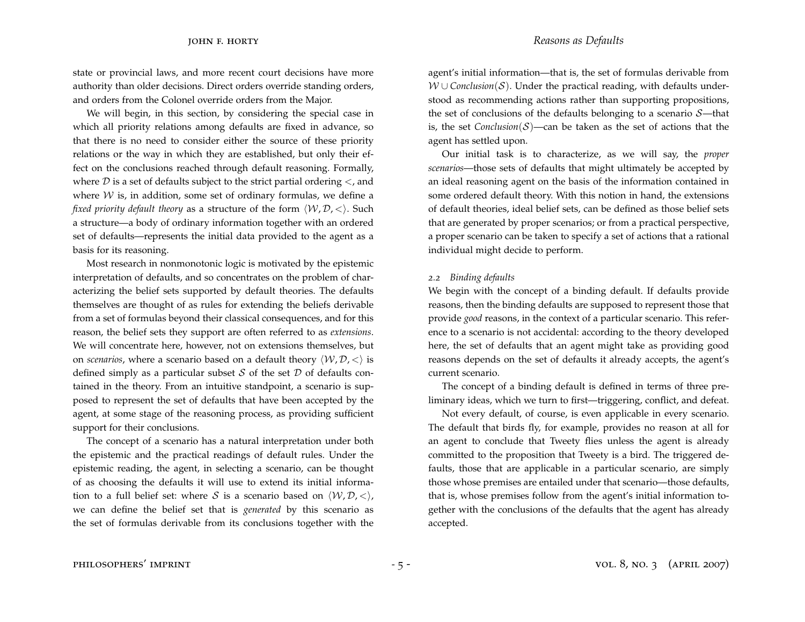state or provincial laws, and more recent court decisions have more authority than older decisions. Direct orders override standing orders, and orders from the Colonel override orders from the Major.

We will begin, in this section, by considering the special case in which all priority relations among defaults are fixed in advance, so that there is no need to consider either the source of these priority relations or the way in which they are established, but only their effect on the conclusions reached through default reasoning. Formally, where D is a set of defaults subject to the strict partial ordering *<*, and where  $W$  is, in addition, some set of ordinary formulas, we define a *fixed priority default theory* as a structure of the form  $\langle W, D, \langle \rangle$ . Such a structure—a body of ordinary information together with an ordered set of defaults—represents the initial data provided to the agent as a basis for its reasoning.

Most research in nonmonotonic logic is motivated by the epistemic interpretation of defaults, and so concentrates on the problem of characterizing the belief sets supported by default theories. The defaults themselves are thought of as rules for extending the beliefs derivable from a set of formulas beyond their classical consequences, and for this reason, the belief sets they support are often referred to as *extensions*. We will concentrate here, however, not on extensions themselves, but on *scenarios*, where a scenario based on a default theory  $\langle W, \mathcal{D}, \langle \rangle$  is defined simply as a particular subset S of the set  $D$  of defaults contained in the theory. From an intuitive standpoint, a scenario is supposed to represent the set of defaults that have been accepted by the agent, at some stage of the reasoning process, as providing sufficient support for their conclusions.

The concept of a scenario has a natural interpretation under both the epistemic and the practical readings of default rules. Under the epistemic reading, the agent, in selecting a scenario, can be thought of as choosing the defaults it will use to extend its initial information to a full belief set: where S is a scenario based on  $\langle W, \mathcal{D}, \langle \rangle$ , we can define the belief set that is *generated* by this scenario as the set of formulas derivable from its conclusions together with the agent's initial information—that is, the set of formulas derivable from *W* ∪ *Conclusion*(S). Under the practical reading, with defaults understood as recommending actions rather than supporting propositions, the set of conclusions of the defaults belonging to a scenario  $S$ —that is, the set *Conclusion*( $S$ )—can be taken as the set of actions that the agent has settled upon.

Our initial task is to characterize, as we will say, the *proper scenarios*—those sets of defaults that might ultimately be accepted by an ideal reasoning agent on the basis of the information contained in some ordered default theory. With this notion in hand, the extensions of default theories, ideal belief sets, can be defined as those belief sets that are generated by proper scenarios; or from a practical perspective, a proper scenario can be taken to specify a set of actions that a rational individual might decide to perform.

#### *2.2 Binding defaults*

We begin with the concept of a binding default. If defaults provide reasons, then the binding defaults are supposed to represent those that provide *good* reasons, in the context of a particular scenario. This reference to a scenario is not accidental: according to the theory developed here, the set of defaults that an agent might take as providing good reasons depends on the set of defaults it already accepts, the agent's current scenario.

The concept of a binding default is defined in terms of three preliminary ideas, which we turn to first—triggering, conflict, and defeat.

Not every default, of course, is even applicable in every scenario. The default that birds fly, for example, provides no reason at all for an agent to conclude that Tweety flies unless the agent is already committed to the proposition that Tweety is a bird. The triggered defaults, those that are applicable in a particular scenario, are simply those whose premises are entailed under that scenario—those defaults, that is, whose premises follow from the agent's initial information together with the conclusions of the defaults that the agent has already accepted.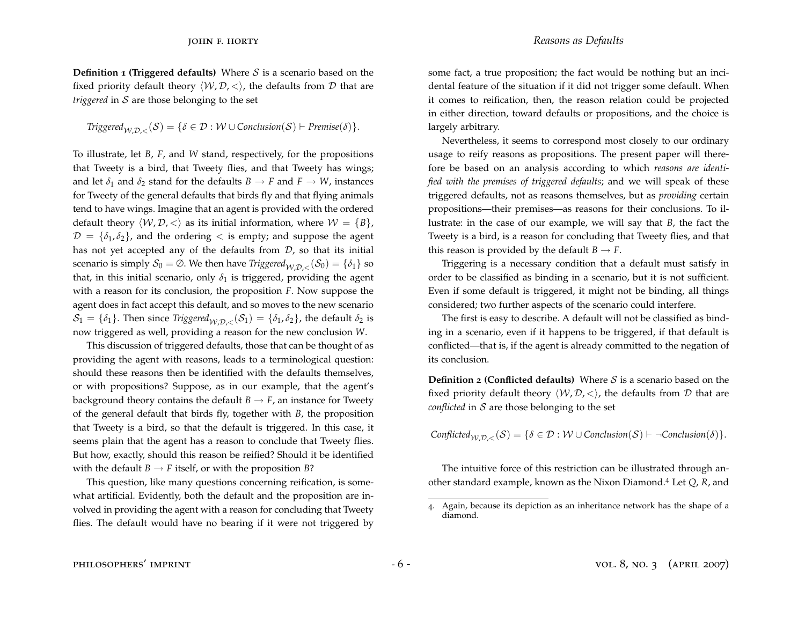**Definition 1 (Triggered defaults)** Where  $S$  is a scenario based on the fixed priority default theory  $\langle W, \mathcal{D}, \langle \rangle$ , the defaults from  $\mathcal D$  that are *triggered* in S are those belonging to the set

 $Triggered_{W,D,<sup>(S)</sup> = {\delta \in D : W \cup Conclusion(S) \vdash Premise(\delta)}$ .

To illustrate, let *B*, *F*, and *W* stand, respectively, for the propositions that Tweety is a bird, that Tweety flies, and that Tweety has wings; and let  $\delta_1$  and  $\delta_2$  stand for the defaults  $B \to F$  and  $F \to W$ , instances for Tweety of the general defaults that birds fly and that flying animals tend to have wings. Imagine that an agent is provided with the ordered default theory  $\langle W, \mathcal{D}, \langle \rangle$  as its initial information, where  $W = \{B\},\$  $D = {\delta_1, \delta_2}$ , and the ordering  $\lt$  is empty; and suppose the agent has not yet accepted any of the defaults from  $D$ , so that its initial scenario is simply  $S_0 = \emptyset$ . We then have *Triggered*<sub>*W*,  $D \leq S_0$ ) = { $\delta_1$ } so</sub> that, in this initial scenario, only  $\delta_1$  is triggered, providing the agent with a reason for its conclusion, the proposition *F*. Now suppose the agent does in fact accept this default, and so moves to the new scenario  $\mathcal{S}_1 = \{\delta_1\}$ . Then since *Triggered*<sub>W,  $\mathcal{D}_\leq(\mathcal{S}_1) = \{\delta_1, \delta_2\}$ , the default  $\delta_2$  is</sub> now triggered as well, providing a reason for the new conclusion *W*.

This discussion of triggered defaults, those that can be thought of as providing the agent with reasons, leads to a terminological question: should these reasons then be identified with the defaults themselves, or with propositions? Suppose, as in our example, that the agent's background theory contains the default  $B \to F$ , an instance for Tweety of the general default that birds fly, together with *B*, the proposition that Tweety is a bird, so that the default is triggered. In this case, it seems plain that the agent has a reason to conclude that Tweety flies. But how, exactly, should this reason be reified? Should it be identified with the default  $B \to F$  itself, or with the proposition *B*?

This question, like many questions concerning reification, is somewhat artificial. Evidently, both the default and the proposition are involved in providing the agent with a reason for concluding that Tweety flies. The default would have no bearing if it were not triggered by some fact, a true proposition; the fact would be nothing but an incidental feature of the situation if it did not trigger some default. When it comes to reification, then, the reason relation could be projected in either direction, toward defaults or propositions, and the choice is largely arbitrary.

Nevertheless, it seems to correspond most closely to our ordinary usage to reify reasons as propositions. The present paper will therefore be based on an analysis according to which *reasons are identified with the premises of triggered defaults*; and we will speak of these triggered defaults, not as reasons themselves, but as *providing* certain propositions—their premises—as reasons for their conclusions. To illustrate: in the case of our example, we will say that *B*, the fact the Tweety is a bird, is a reason for concluding that Tweety flies, and that this reason is provided by the default  $B \to F$ .

Triggering is a necessary condition that a default must satisfy in order to be classified as binding in a scenario, but it is not sufficient. Even if some default is triggered, it might not be binding, all things considered; two further aspects of the scenario could interfere.

The first is easy to describe. A default will not be classified as binding in a scenario, even if it happens to be triggered, if that default is conflicted—that is, if the agent is already committed to the negation of its conclusion.

**Definition 2 (Conflicted defaults)** Where  $S$  is a scenario based on the fixed priority default theory  $\langle W, \mathcal{D}, \langle \rangle$ , the defaults from  $\mathcal D$  that are *conflicted* in  $S$  are those belonging to the set

$$
Conficted_{W,D,<}(S) = \{ \delta \in D : W \cup Conclusion(S) \vdash \neg Conclusion(\delta) \}.
$$

The intuitive force of this restriction can be illustrated through another standard example, known as the Nixon Diamond.<sup>4</sup> Let *Q*, *R*, and

<sup>4</sup>. Again, because its depiction as an inheritance network has the shape of a diamond.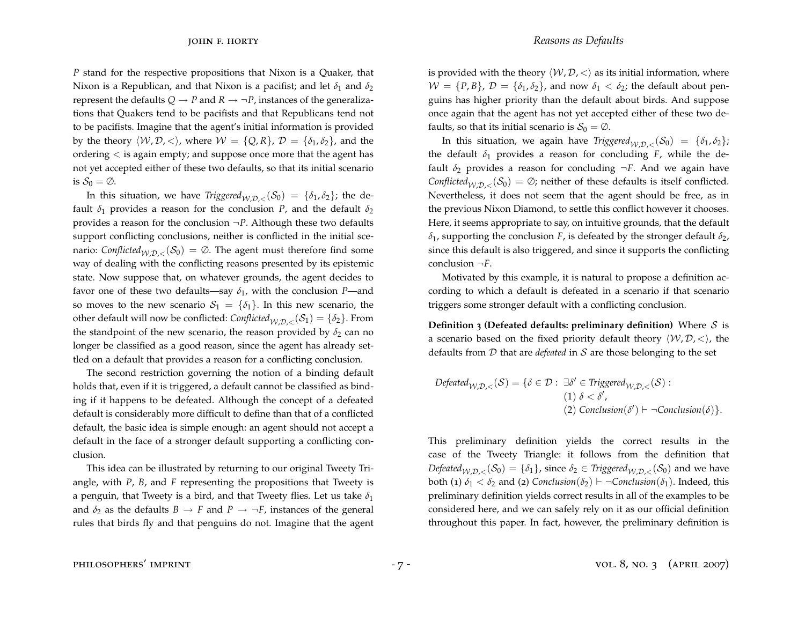*P* stand for the respective propositions that Nixon is a Quaker, that Nixon is a Republican, and that Nixon is a pacifist; and let  $\delta_1$  and  $\delta_2$ represent the defaults  $Q \rightarrow P$  and  $R \rightarrow \neg P$ , instances of the generalizations that Quakers tend to be pacifists and that Republicans tend not to be pacifists. Imagine that the agent's initial information is provided by the theory  $\langle W, \mathcal{D}, \langle \rangle$ , where  $\mathcal{W} = \{Q, R\}, \mathcal{D} = \{\delta_1, \delta_2\}$ , and the ordering *<* is again empty; and suppose once more that the agent has not yet accepted either of these two defaults, so that its initial scenario is  $S_0 = \emptyset$ .

In this situation, we have *Triggered*<sub>*W*, $D$ , $\langle$ </sub> $(S_0) = \{\delta_1, \delta_2\}$ ; the default  $\delta_1$  provides a reason for the conclusion *P*, and the default  $\delta_2$ provides a reason for the conclusion  $\neg P$ . Although these two defaults support conflicting conclusions, neither is conflicted in the initial scenario: *Conflicted*<sub>W,D</sub> $\zeta(S_0) = \emptyset$ . The agent must therefore find some way of dealing with the conflicting reasons presented by its epistemic state. Now suppose that, on whatever grounds, the agent decides to favor one of these two defaults—say  $\delta_1$ , with the conclusion *P*—and so moves to the new scenario  $S_1 = {\delta_1}$ . In this new scenario, the other default will now be conflicted: *Conflicted*<sub>*W*, $\mathcal{D}_{\leq}$ </sub>( $\mathcal{S}_1$ ) = { $\delta_2$ }. From the standpoint of the new scenario, the reason provided by  $\delta_2$  can no longer be classified as a good reason, since the agent has already settled on a default that provides a reason for a conflicting conclusion.

The second restriction governing the notion of a binding default holds that, even if it is triggered, a default cannot be classified as binding if it happens to be defeated. Although the concept of a defeated default is considerably more difficult to define than that of a conflicted default, the basic idea is simple enough: an agent should not accept a default in the face of a stronger default supporting a conflicting conclusion.

This idea can be illustrated by returning to our original Tweety Triangle, with *P*, *B*, and *F* representing the propositions that Tweety is a penguin, that Tweety is a bird, and that Tweety flies. Let us take  $\delta_1$ and  $\delta_2$  as the defaults  $B \to F$  and  $P \to \neg F$ , instances of the general rules that birds fly and that penguins do not. Imagine that the agent

john f. horty *Reasons as Defaults*

is provided with the theory  $\langle W, \mathcal{D}, \langle \rangle$  as its initial information, where  $W = \{P, B\}, \mathcal{D} = \{\delta_1, \delta_2\}, \text{ and now } \delta_1 < \delta_2$ ; the default about penguins has higher priority than the default about birds. And suppose once again that the agent has not yet accepted either of these two defaults, so that its initial scenario is  $S_0 = \emptyset$ .

In this situation, we again have *Triggered*<sub>W, D</sub>  $(S_0) = \{\delta_1, \delta_2\}$ ; the default  $\delta_1$  provides a reason for concluding  $F$ , while the default  $\delta_2$  provides a reason for concluding  $\neg F$ . And we again have *Conflicted*<sub>*W*,D, $\leq$ </sub>( $S_0$ ) =  $\oslash$ ; neither of these defaults is itself conflicted. Nevertheless, it does not seem that the agent should be free, as in the previous Nixon Diamond, to settle this conflict however it chooses. Here, it seems appropriate to say, on intuitive grounds, that the default  $\delta_1$ , supporting the conclusion *F*, is defeated by the stronger default  $\delta_2$ , since this default is also triggered, and since it supports the conflicting conclusion ¬*F*.

Motivated by this example, it is natural to propose a definition according to which a default is defeated in a scenario if that scenario triggers some stronger default with a conflicting conclusion.

**Definition 3** (Defeated defaults: preliminary definition) Where  $S$  is a scenario based on the fixed priority default theory  $\langle W, \mathcal{D}, \langle \rangle$ , the defaults from D that are *defeated* in S are those belonging to the set

$$
\begin{aligned} \textit{Defeated}_{\mathcal{W},\mathcal{D},<}(\mathcal{S}) &= \{ \delta \in \mathcal{D} : \exists \delta' \in \textit{Triggered}_{\mathcal{W},\mathcal{D},<}(\mathcal{S}) : \\ & (1) \ \delta < \delta', \\ & (2) \ \textit{Conclusion}(\delta') \vdash \neg \textit{Conclusion}(\delta) \}. \end{aligned}
$$

This preliminary definition yields the correct results in the case of the Tweety Triangle: it follows from the definition that *Defeated*<sub>W,D,<</sub>( $S_0$ ) = { $\delta_1$ }, since  $\delta_2 \in Triggered_{W,D,<}$  ( $S_0$ ) and we have both (1)  $\delta_1 < \delta_2$  and (2) *Conclusion*( $\delta_2$ )  $\vdash \neg Conclusion(\delta_1)$ . Indeed, this preliminary definition yields correct results in all of the examples to be considered here, and we can safely rely on it as our official definition throughout this paper. In fact, however, the preliminary definition is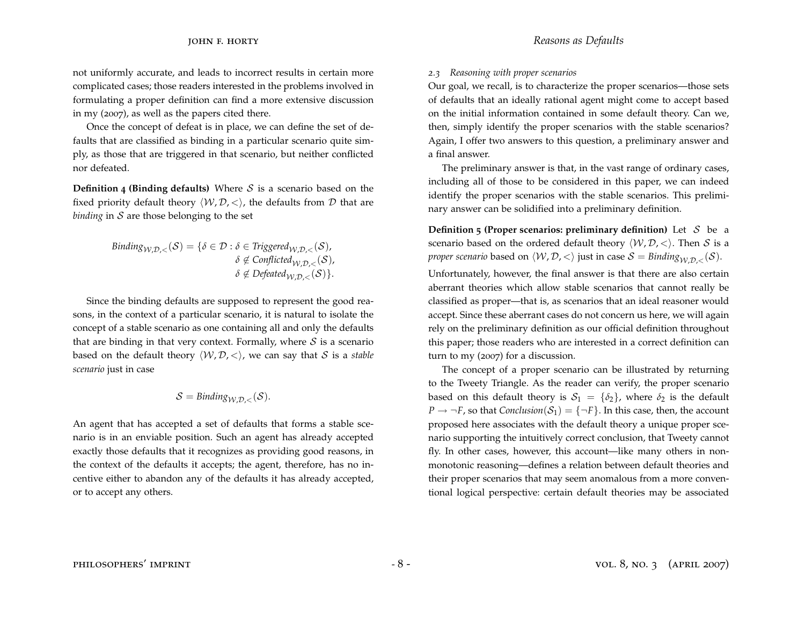not uniformly accurate, and leads to incorrect results in certain more complicated cases; those readers interested in the problems involved in formulating a proper definition can find a more extensive discussion in my ([2007](#page-27-1)), as well as the papers cited there.

Once the concept of defeat is in place, we can define the set of defaults that are classified as binding in a particular scenario quite simply, as those that are triggered in that scenario, but neither conflicted nor defeated.

**Definition 4 (Binding defaults)** Where S is a scenario based on the fixed priority default theory  $\langle W, \mathcal{D}, \langle \rangle$ , the defaults from D that are *binding* in  $S$  are those belonging to the set

$$
Binding_{W,D,<}(S) = \{ \delta \in \mathcal{D} : \delta \in Triggered_{W,D,<}(S), \\ \delta \notin Conficted_{W,D,<}(S), \\ \delta \notin Defated_{W,D,<}(S) \}.
$$

Since the binding defaults are supposed to represent the good reasons, in the context of a particular scenario, it is natural to isolate the concept of a stable scenario as one containing all and only the defaults that are binding in that very context. Formally, where  $S$  is a scenario based on the default theory  $\langle W, \mathcal{D}, \langle \rangle$ , we can say that S is a *stable scenario* just in case

$$
S = \text{Binding}_{W,D,<}(S).
$$

An agent that has accepted a set of defaults that forms a stable scenario is in an enviable position. Such an agent has already accepted exactly those defaults that it recognizes as providing good reasons, in the context of the defaults it accepts; the agent, therefore, has no incentive either to abandon any of the defaults it has already accepted, or to accept any others.

#### *2.3 Reasoning with proper scenarios*

Our goal, we recall, is to characterize the proper scenarios—those sets of defaults that an ideally rational agent might come to accept based on the initial information contained in some default theory. Can we, then, simply identify the proper scenarios with the stable scenarios? Again, I offer two answers to this question, a preliminary answer and a final answer.

The preliminary answer is that, in the vast range of ordinary cases, including all of those to be considered in this paper, we can indeed identify the proper scenarios with the stable scenarios. This preliminary answer can be solidified into a preliminary definition.

**Definition 5 (Proper scenarios: preliminary definition)** Let S be a scenario based on the ordered default theory  $\langle W, \mathcal{D}, \langle \rangle$ . Then S is a *proper scenario* based on  $\langle W, \mathcal{D}, \langle \rangle$  just in case  $\mathcal{S} = \text{Binding}_{W, \mathcal{D}, \langle}(\mathcal{S})$ .

Unfortunately, however, the final answer is that there are also certain aberrant theories which allow stable scenarios that cannot really be classified as proper—that is, as scenarios that an ideal reasoner would accept. Since these aberrant cases do not concern us here, we will again rely on the preliminary definition as our official definition throughout this paper; those readers who are interested in a correct definition can turn to my ([2007](#page-27-1)) for a discussion.

The concept of a proper scenario can be illustrated by returning to the Tweety Triangle. As the reader can verify, the proper scenario based on this default theory is  $S_1 = {\delta_2}$ , where  $\delta_2$  is the default  $P \rightarrow \neg F$ , so that *Conclusion*( $S_1$ ) = { $\neg F$ }. In this case, then, the account proposed here associates with the default theory a unique proper scenario supporting the intuitively correct conclusion, that Tweety cannot fly. In other cases, however, this account—like many others in nonmonotonic reasoning—defines a relation between default theories and their proper scenarios that may seem anomalous from a more conventional logical perspective: certain default theories may be associated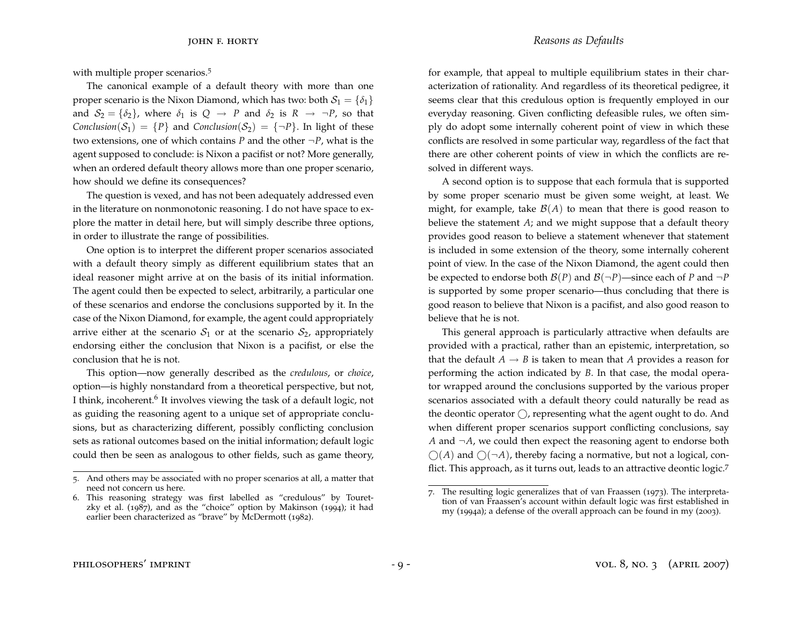with multiple proper scenarios.<sup>5</sup>

The canonical example of a default theory with more than one proper scenario is the Nixon Diamond, which has two: both  $S_1 = \{\delta_1\}$ and  $S_2 = \{\delta_2\}$ , where  $\delta_1$  is  $Q \rightarrow P$  and  $\delta_2$  is  $R \rightarrow \neg P$ , so that *Conclusion*( $S_1$ ) = {*P*} and *Conclusion*( $S_2$ ) = {¬*P*}. In light of these two extensions, one of which contains *P* and the other  $\neg P$ , what is the agent supposed to conclude: is Nixon a pacifist or not? More generally, when an ordered default theory allows more than one proper scenario, how should we define its consequences?

The question is vexed, and has not been adequately addressed even in the literature on nonmonotonic reasoning. I do not have space to explore the matter in detail here, but will simply describe three options, in order to illustrate the range of possibilities.

One option is to interpret the different proper scenarios associated with a default theory simply as different equilibrium states that an ideal reasoner might arrive at on the basis of its initial information. The agent could then be expected to select, arbitrarily, a particular one of these scenarios and endorse the conclusions supported by it. In the case of the Nixon Diamond, for example, the agent could appropriately arrive either at the scenario  $S_1$  or at the scenario  $S_2$ , appropriately endorsing either the conclusion that Nixon is a pacifist, or else the conclusion that he is not.

This option—now generally described as the *credulous*, or *choice*, option—is highly nonstandard from a theoretical perspective, but not, I think, incoherent.<sup>6</sup> It involves viewing the task of a default logic, not as guiding the reasoning agent to a unique set of appropriate conclusions, but as characterizing different, possibly conflicting conclusion sets as rational outcomes based on the initial information; default logic could then be seen as analogous to other fields, such as game theory, for example, that appeal to multiple equilibrium states in their characterization of rationality. And regardless of its theoretical pedigree, it seems clear that this credulous option is frequently employed in our everyday reasoning. Given conflicting defeasible rules, we often simply do adopt some internally coherent point of view in which these conflicts are resolved in some particular way, regardless of the fact that there are other coherent points of view in which the conflicts are resolved in different ways.

A second option is to suppose that each formula that is supported by some proper scenario must be given some weight, at least. We might, for example, take  $\mathcal{B}(A)$  to mean that there is good reason to believe the statement *A*; and we might suppose that a default theory provides good reason to believe a statement whenever that statement is included in some extension of the theory, some internally coherent point of view. In the case of the Nixon Diamond, the agent could then be expected to endorse both  $\mathcal{B}(P)$  and  $\mathcal{B}(\neg P)$ —since each of *P* and  $\neg P$ is supported by some proper scenario—thus concluding that there is good reason to believe that Nixon is a pacifist, and also good reason to believe that he is not.

This general approach is particularly attractive when defaults are provided with a practical, rather than an epistemic, interpretation, so that the default  $A \rightarrow B$  is taken to mean that *A* provides a reason for performing the action indicated by *B*. In that case, the modal operator wrapped around the conclusions supported by the various proper scenarios associated with a default theory could naturally be read as the deontic operator  $\bigcirc$ , representing what the agent ought to do. And when different proper scenarios support conflicting conclusions, say *A* and ¬*A*, we could then expect the reasoning agent to endorse both  $\bigcap (A)$  and  $\bigcap (\neg A)$ , thereby facing a normative, but not a logical, conflict. This approach, as it turns out, leads to an attractive deontic logic.<sup>7</sup>

<sup>5</sup>. And others may be associated with no proper scenarios at all, a matter that need not concern us here.

<sup>6</sup>. This reasoning strategy was first labelled as "credulous" by Touretzky et al. ([1987](#page-27-5)), and as the "choice" option by Makinson ([1994](#page-27-6)); it had earlier been characterized as "brave" by McDermott ([1982](#page-27-7)).

<sup>7</sup>. The resulting logic generalizes that of van Fraassen ([1973](#page-27-8)). The interpretation of van Fraassen's account within default logic was first established in my ([1994](#page-27-9)a); a defense of the overall approach can be found in my ([2003](#page-27-10)).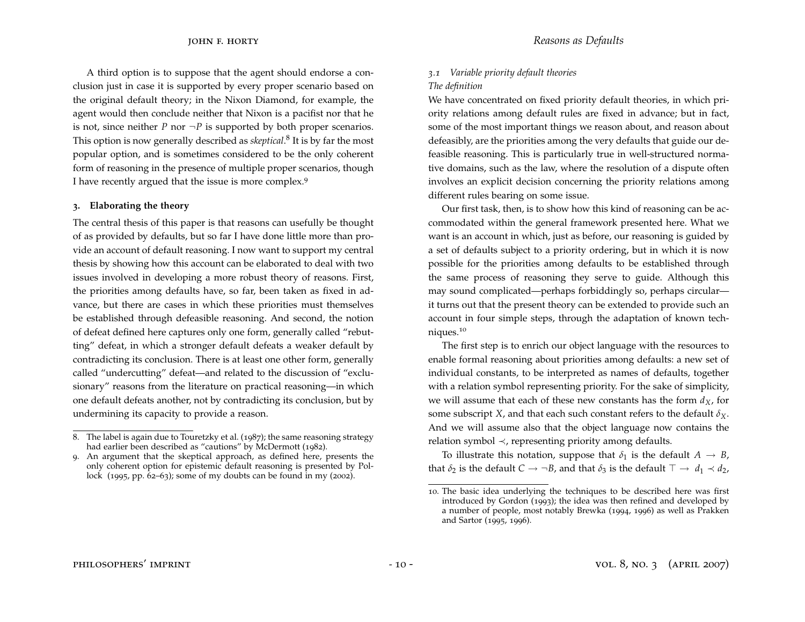A third option is to suppose that the agent should endorse a conclusion just in case it is supported by every proper scenario based on the original default theory; in the Nixon Diamond, for example, the agent would then conclude neither that Nixon is a pacifist nor that he is not, since neither *P* nor  $\neg P$  is supported by both proper scenarios. This option is now generally described as *skeptical*. <sup>8</sup> It is by far the most popular option, and is sometimes considered to be the only coherent form of reasoning in the presence of multiple proper scenarios, though I have recently argued that the issue is more complex.<sup>9</sup>

#### **3. Elaborating the theory**

The central thesis of this paper is that reasons can usefully be thought of as provided by defaults, but so far I have done little more than provide an account of default reasoning. I now want to support my central thesis by showing how this account can be elaborated to deal with two issues involved in developing a more robust theory of reasons. First, the priorities among defaults have, so far, been taken as fixed in advance, but there are cases in which these priorities must themselves be established through defeasible reasoning. And second, the notion of defeat defined here captures only one form, generally called "rebutting" defeat, in which a stronger default defeats a weaker default by contradicting its conclusion. There is at least one other form, generally called "undercutting" defeat—and related to the discussion of "exclusionary" reasons from the literature on practical reasoning—in which one default defeats another, not by contradicting its conclusion, but by undermining its capacity to provide a reason.

### *3.1 Variable priority default theories The definition*

We have concentrated on fixed priority default theories, in which priority relations among default rules are fixed in advance; but in fact, some of the most important things we reason about, and reason about defeasibly, are the priorities among the very defaults that guide our defeasible reasoning. This is particularly true in well-structured normative domains, such as the law, where the resolution of a dispute often involves an explicit decision concerning the priority relations among different rules bearing on some issue.

Our first task, then, is to show how this kind of reasoning can be accommodated within the general framework presented here. What we want is an account in which, just as before, our reasoning is guided by a set of defaults subject to a priority ordering, but in which it is now possible for the priorities among defaults to be established through the same process of reasoning they serve to guide. Although this may sound complicated—perhaps forbiddingly so, perhaps circular it turns out that the present theory can be extended to provide such an account in four simple steps, through the adaptation of known techniques.<sup>10</sup>

The first step is to enrich our object language with the resources to enable formal reasoning about priorities among defaults: a new set of individual constants, to be interpreted as names of defaults, together with a relation symbol representing priority. For the sake of simplicity, we will assume that each of these new constants has the form  $d_X$ , for some subscript *X*, and that each such constant refers to the default  $\delta_X$ . And we will assume also that the object language now contains the relation symbol  $\prec$ , representing priority among defaults.

To illustrate this notation, suppose that  $\delta_1$  is the default  $A \rightarrow B$ , that  $\delta_2$  is the default  $C \rightarrow \neg B$ , and that  $\delta_3$  is the default  $\top \rightarrow d_1 \prec d_2$ ,

<sup>8</sup>. The label is again due to Touretzky et al. ([1987](#page-27-5)); the same reasoning strategy had earlier been described as "cautions" by McDermott ([1982](#page-27-7)).

<sup>9</sup>. An argument that the skeptical approach, as defined here, presents the only coherent option for epistemic default reasoning is presented by Pollock  $(1995, pp. 62–63)$  $(1995, pp. 62–63)$  $(1995, pp. 62–63)$ ; some of my doubts can be found in my  $(2002)$  $(2002)$  $(2002)$ .

<sup>10</sup>. The basic idea underlying the techniques to be described here was first introduced by Gordon ([1993](#page-27-13)); the idea was then refined and developed by a number of people, most notably Brewka ([1994](#page-26-1), [1996](#page-26-2)) as well as Prakken and Sartor ([1995](#page-27-14), [1996](#page-27-15)).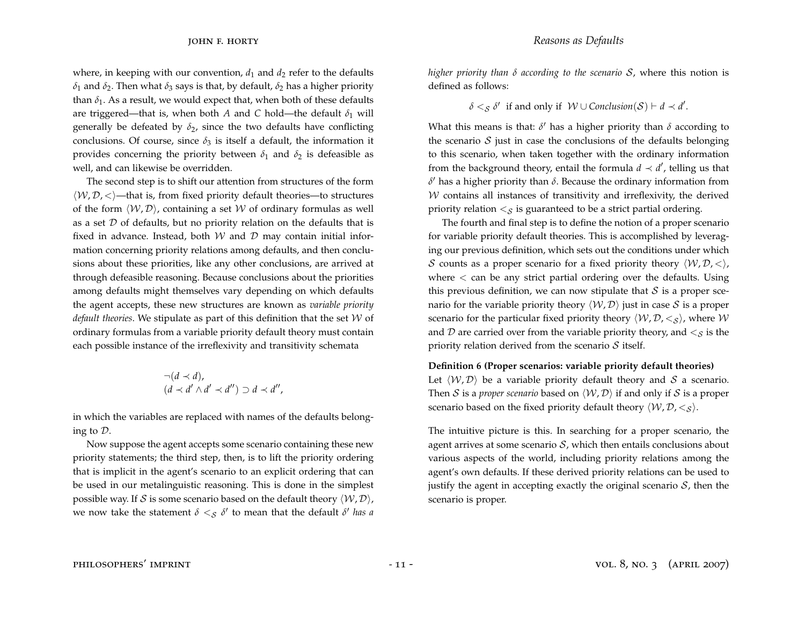where, in keeping with our convention,  $d_1$  and  $d_2$  refer to the defaults  $δ_1$  and  $δ_2$ . Then what  $δ_3$  says is that, by default,  $δ_2$  has a higher priority than  $\delta_1$ . As a result, we would expect that, when both of these defaults are triggered—that is, when both *A* and *C* hold—the default  $\delta_1$  will generally be defeated by  $\delta_2$ , since the two defaults have conflicting conclusions. Of course, since  $\delta_3$  is itself a default, the information it provides concerning the priority between  $\delta_1$  and  $\delta_2$  is defeasible as well, and can likewise be overridden.

The second step is to shift our attention from structures of the form  $\langle W, \mathcal{D}, \langle \rangle$ —that is, from fixed priority default theories—to structures of the form  $\langle W, \mathcal{D} \rangle$ , containing a set W of ordinary formulas as well as a set  $D$  of defaults, but no priority relation on the defaults that is fixed in advance. Instead, both  $W$  and  $D$  may contain initial information concerning priority relations among defaults, and then conclusions about these priorities, like any other conclusions, are arrived at through defeasible reasoning. Because conclusions about the priorities among defaults might themselves vary depending on which defaults the agent accepts, these new structures are known as *variable priority default theories*. We stipulate as part of this definition that the set W of ordinary formulas from a variable priority default theory must contain each possible instance of the irreflexivity and transitivity schemata

$$
\neg (d \prec d),
$$
  

$$
(d \prec d' \wedge d' \prec d'') \supset d \prec d'',
$$

in which the variables are replaced with names of the defaults belonging to D.

Now suppose the agent accepts some scenario containing these new priority statements; the third step, then, is to lift the priority ordering that is implicit in the agent's scenario to an explicit ordering that can be used in our metalinguistic reasoning. This is done in the simplest possible way. If S is some scenario based on the default theory  $\langle W, \mathcal{D} \rangle$ , we now take the statement  $\delta <_{\mathcal{S}} \delta'$  to mean that the default  $\delta'$  *has a*  *higher priority than δ according to the scenario* S, where this notion is defined as follows:

$$
\delta <_{\mathcal{S}} \delta' \text{ if and only if } \mathcal{W} \cup \text{Conclusion}(\mathcal{S}) \vdash d \prec d'.
$$

What this means is that:  $\delta'$  has a higher priority than  $\delta$  according to the scenario  $S$  just in case the conclusions of the defaults belonging to this scenario, when taken together with the ordinary information from the background theory, entail the formula  $d \prec d'$ , telling us that  $δ'$  has a higher priority than  $δ$ . Because the ordinary information from  $W$  contains all instances of transitivity and irreflexivity, the derived priority relation  $\lt_S$  is guaranteed to be a strict partial ordering.

The fourth and final step is to define the notion of a proper scenario for variable priority default theories. This is accomplished by leveraging our previous definition, which sets out the conditions under which S counts as a proper scenario for a fixed priority theory  $\langle W, \mathcal{D}, \langle \rangle$ , where *<* can be any strict partial ordering over the defaults. Using this previous definition, we can now stipulate that  $S$  is a proper scenario for the variable priority theory  $\langle W, \mathcal{D} \rangle$  just in case S is a proper scenario for the particular fixed priority theory  $\langle W, \mathcal{D}, \langle \mathcal{S} \rangle$ , where W and  $D$  are carried over from the variable priority theory, and  $\lt_S$  is the priority relation derived from the scenario  $S$  itself.

#### **Definition 6 (Proper scenarios: variable priority default theories)**

Let  $\langle W, \mathcal{D} \rangle$  be a variable priority default theory and S a scenario. Then S is a *proper scenario* based on  $\langle W, \mathcal{D} \rangle$  if and only if S is a proper scenario based on the fixed priority default theory  $\langle W, \mathcal{D}, \langle \mathcal{S} \rangle$ .

The intuitive picture is this. In searching for a proper scenario, the agent arrives at some scenario  $S$ , which then entails conclusions about various aspects of the world, including priority relations among the agent's own defaults. If these derived priority relations can be used to justify the agent in accepting exactly the original scenario  $S$ , then the scenario is proper.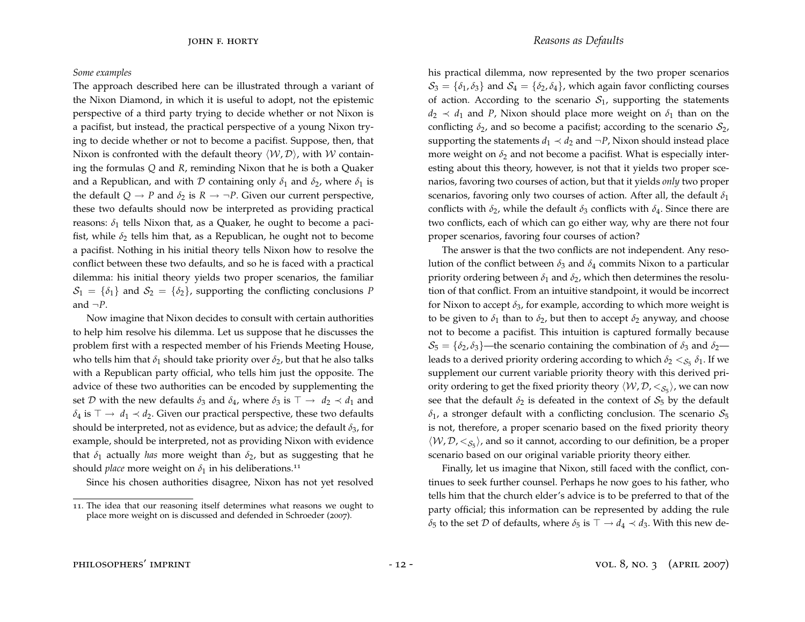#### john f. horty *Reasons as Defaults*

#### *Some examples*

The approach described here can be illustrated through a variant of the Nixon Diamond, in which it is useful to adopt, not the epistemic perspective of a third party trying to decide whether or not Nixon is a pacifist, but instead, the practical perspective of a young Nixon trying to decide whether or not to become a pacifist. Suppose, then, that Nixon is confronted with the default theory  $\langle W, \mathcal{D} \rangle$ , with W containing the formulas *Q* and *R*, reminding Nixon that he is both a Quaker and a Republican, and with D containing only  $\delta_1$  and  $\delta_2$ , where  $\delta_1$  is the default  $Q \rightarrow P$  and  $\delta_2$  is  $R \rightarrow \neg P$ . Given our current perspective, these two defaults should now be interpreted as providing practical reasons:  $\delta_1$  tells Nixon that, as a Quaker, he ought to become a pacifist, while  $\delta_2$  tells him that, as a Republican, he ought not to become a pacifist. Nothing in his initial theory tells Nixon how to resolve the conflict between these two defaults, and so he is faced with a practical dilemma: his initial theory yields two proper scenarios, the familiar  $S_1 = \{\delta_1\}$  and  $S_2 = \{\delta_2\}$ , supporting the conflicting conclusions P and  $\neg P$ .

Now imagine that Nixon decides to consult with certain authorities to help him resolve his dilemma. Let us suppose that he discusses the problem first with a respected member of his Friends Meeting House, who tells him that  $\delta_1$  should take priority over  $\delta_2$ , but that he also talks with a Republican party official, who tells him just the opposite. The advice of these two authorities can be encoded by supplementing the set D with the new defaults  $\delta_3$  and  $\delta_4$ , where  $\delta_3$  is  $\top \rightarrow d_2 \prec d_1$  and  $\delta_4$  is  $\top \rightarrow d_1 \prec d_2$ . Given our practical perspective, these two defaults should be interpreted, not as evidence, but as advice; the default  $\delta_3$ , for example, should be interpreted, not as providing Nixon with evidence that  $\delta_1$  actually *has* more weight than  $\delta_2$ , but as suggesting that he should *place* more weight on  $\delta_1$  in his deliberations.<sup>11</sup>

Since his chosen authorities disagree, Nixon has not yet resolved

his practical dilemma, now represented by the two proper scenarios  $S_3 = \{\delta_1, \delta_3\}$  and  $S_4 = \{\delta_2, \delta_4\}$ , which again favor conflicting courses of action. According to the scenario  $S<sub>1</sub>$ , supporting the statements  $d_2 \nightharpoonup d_1$  and *P*, Nixon should place more weight on  $\delta_1$  than on the conflicting  $\delta_2$ , and so become a pacifist; according to the scenario  $S_2$ , supporting the statements  $d_1 \prec d_2$  and  $\neg P$ , Nixon should instead place more weight on  $\delta_2$  and not become a pacifist. What is especially interesting about this theory, however, is not that it yields two proper scenarios, favoring two courses of action, but that it yields *only* two proper scenarios, favoring only two courses of action. After all, the default  $\delta_1$ conflicts with  $\delta_2$ , while the default  $\delta_3$  conflicts with  $\delta_4$ . Since there are two conflicts, each of which can go either way, why are there not four proper scenarios, favoring four courses of action?

The answer is that the two conflicts are not independent. Any resolution of the conflict between  $\delta_3$  and  $\delta_4$  commits Nixon to a particular priority ordering between  $\delta_1$  and  $\delta_2$ , which then determines the resolution of that conflict. From an intuitive standpoint, it would be incorrect for Nixon to accept  $\delta_3$ , for example, according to which more weight is to be given to  $\delta_1$  than to  $\delta_2$ , but then to accept  $\delta_2$  anyway, and choose not to become a pacifist. This intuition is captured formally because  $\mathcal{S}_5 = {\delta_2, \delta_3}$ —the scenario containing the combination of  $\delta_3$  and  $\delta_2$  leads to a derived priority ordering according to which  $\delta_2 <$   $\delta_5$ ,  $\delta_1$ . If we supplement our current variable priority theory with this derived priority ordering to get the fixed priority theory  $\langle W, \mathcal{D}, \langle \mathcal{S}_5 \rangle$ , we can now see that the default  $\delta_2$  is defeated in the context of  $S_5$  by the default  $\delta_1$ , a stronger default with a conflicting conclusion. The scenario  $S_5$ is not, therefore, a proper scenario based on the fixed priority theory  $\langle W, \mathcal{D}, \langle \mathcal{S}_5 \rangle$ , and so it cannot, according to our definition, be a proper scenario based on our original variable priority theory either.

Finally, let us imagine that Nixon, still faced with the conflict, continues to seek further counsel. Perhaps he now goes to his father, who tells him that the church elder's advice is to be preferred to that of the party official; this information can be represented by adding the rule *δ*<sub>5</sub> to the set *D* of defaults, where *δ*<sub>5</sub> is  $\top$  → *d*<sub>4</sub>  $\prec$  *d*<sub>3</sub>. With this new de-

<sup>11</sup>. The idea that our reasoning itself determines what reasons we ought to place more weight on is discussed and defended in Schroeder ([2007](#page-27-16)).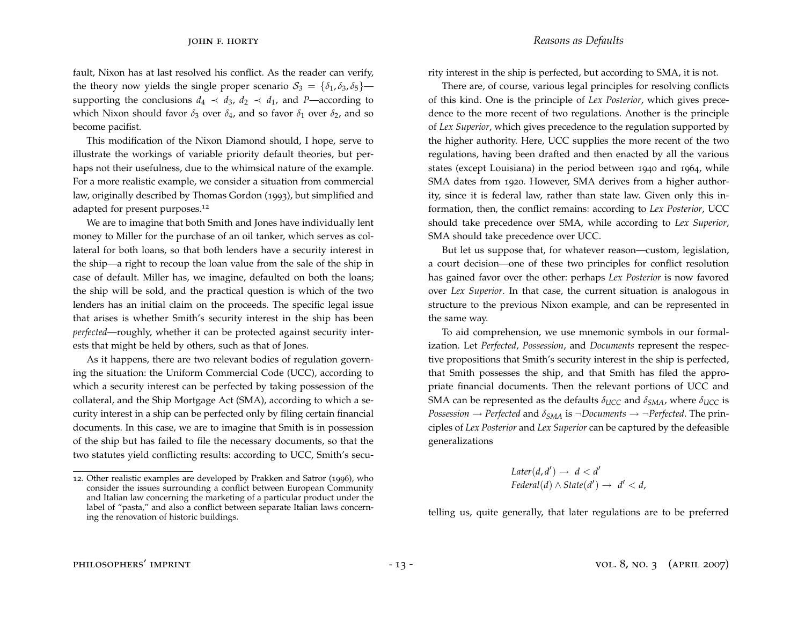fault, Nixon has at last resolved his conflict. As the reader can verify, the theory now yields the single proper scenario  $S_3 = {\delta_1, \delta_3, \delta_5}$ supporting the conclusions  $d_4 \prec d_3$ ,  $d_2 \prec d_1$ , and *P*—according to which Nixon should favor  $\delta_3$  over  $\delta_4$ , and so favor  $\delta_1$  over  $\delta_2$ , and so become pacifist.

This modification of the Nixon Diamond should, I hope, serve to illustrate the workings of variable priority default theories, but perhaps not their usefulness, due to the whimsical nature of the example. For a more realistic example, we consider a situation from commercial law, originally described by Thomas Gordon ([1993](#page-27-13)), but simplified and adapted for present purposes.<sup>12</sup>

We are to imagine that both Smith and Jones have individually lent money to Miller for the purchase of an oil tanker, which serves as collateral for both loans, so that both lenders have a security interest in the ship—a right to recoup the loan value from the sale of the ship in case of default. Miller has, we imagine, defaulted on both the loans; the ship will be sold, and the practical question is which of the two lenders has an initial claim on the proceeds. The specific legal issue that arises is whether Smith's security interest in the ship has been *perfected*—roughly, whether it can be protected against security interests that might be held by others, such as that of Jones.

As it happens, there are two relevant bodies of regulation governing the situation: the Uniform Commercial Code (UCC), according to which a security interest can be perfected by taking possession of the collateral, and the Ship Mortgage Act (SMA), according to which a security interest in a ship can be perfected only by filing certain financial documents. In this case, we are to imagine that Smith is in possession of the ship but has failed to file the necessary documents, so that the two statutes yield conflicting results: according to UCC, Smith's security interest in the ship is perfected, but according to SMA, it is not.

There are, of course, various legal principles for resolving conflicts of this kind. One is the principle of *Lex Posterior*, which gives precedence to the more recent of two regulations. Another is the principle of *Lex Superior*, which gives precedence to the regulation supported by the higher authority. Here, UCC supplies the more recent of the two regulations, having been drafted and then enacted by all the various states (except Louisiana) in the period between 1940 and 1964, while SMA dates from 1920. However, SMA derives from a higher authority, since it is federal law, rather than state law. Given only this information, then, the conflict remains: according to *Lex Posterior*, UCC should take precedence over SMA, while according to *Lex Superior*, SMA should take precedence over UCC.

But let us suppose that, for whatever reason—custom, legislation, a court decision—one of these two principles for conflict resolution has gained favor over the other: perhaps *Lex Posterior* is now favored over *Lex Superior*. In that case, the current situation is analogous in structure to the previous Nixon example, and can be represented in the same way.

To aid comprehension, we use mnemonic symbols in our formalization. Let *Perfected*, *Possession*, and *Documents* represent the respective propositions that Smith's security interest in the ship is perfected, that Smith possesses the ship, and that Smith has filed the appropriate financial documents. Then the relevant portions of UCC and SMA can be represented as the defaults  $\delta_{UCC}$  and  $\delta_{SMA}$ , where  $\delta_{UCC}$  is *Possession* → *Perfected* and *δSMA* is ¬*Documents* → ¬*Perfected*. The principles of *Lex Posterior* and *Lex Superior* can be captured by the defeasible generalizations

$$
Later(d, d') \rightarrow d < d'
$$
  

$$
Federal(d) \land State(d') \rightarrow d' < d,
$$

telling us, quite generally, that later regulations are to be preferred

<sup>12</sup>. Other realistic examples are developed by Prakken and Satror ([1996](#page-27-15)), who consider the issues surrounding a conflict between European Community and Italian law concerning the marketing of a particular product under the label of "pasta," and also a conflict between separate Italian laws concerning the renovation of historic buildings.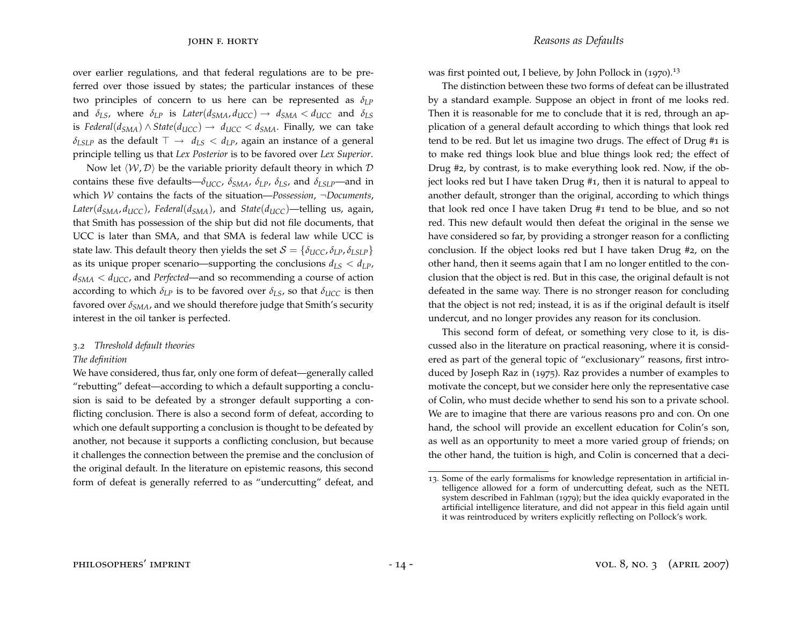over earlier regulations, and that federal regulations are to be preferred over those issued by states; the particular instances of these two principles of concern to us here can be represented as *δLP* and  $\delta_{LS}$ , where  $\delta_{LP}$  is *Later*( $d_{SMA}$ , $d_{UCC}$ )  $\rightarrow$   $d_{SMA}$  <  $d_{UCC}$  and  $\delta_{LS}$ is *Federal*( $d_{SMA}$ ) ∧ *State*( $d_{UCC}$ ) →  $d_{UCC}$  <  $d_{SMA}$ . Finally, we can take  $\delta_{LSLP}$  as the default  $\top \rightarrow d_{LS} < d_{LP}$ , again an instance of a general principle telling us that *Lex Posterior* is to be favored over *Lex Superior*.

Now let  $\langle W, \mathcal{D} \rangle$  be the variable priority default theory in which  $\mathcal D$ contains these five defaults—*δUCC*, *δSMA*, *δLP*, *δLS*, and *δLSLP*—and in which W contains the facts of the situation—*Possession*, ¬*Documents*,  $Later(d<sub>SMA</sub>, d<sub>UCC</sub>)$ ,  $Federal(d<sub>SMA</sub>)$ , and  $State(d<sub>UCC</sub>)$ —telling us, again, that Smith has possession of the ship but did not file documents, that UCC is later than SMA, and that SMA is federal law while UCC is state law. This default theory then yields the set  $S = \{\delta_{UCC}, \delta_{LP}, \delta_{LSLP}\}\$ as its unique proper scenario—supporting the conclusions  $d_{LS} < d_{LP}$ ,  $d_{SMA}$  <  $d_{UCC}$ , and *Perfected*—and so recommending a course of action according to which  $\delta_{LP}$  is to be favored over  $\delta_{IS}$ , so that  $\delta_{UCC}$  is then favored over *δSMA*, and we should therefore judge that Smith's security interest in the oil tanker is perfected.

*3.2 Threshold default theories*

#### *The definition*

We have considered, thus far, only one form of defeat—generally called "rebutting" defeat—according to which a default supporting a conclusion is said to be defeated by a stronger default supporting a conflicting conclusion. There is also a second form of defeat, according to which one default supporting a conclusion is thought to be defeated by another, not because it supports a conflicting conclusion, but because it challenges the connection between the premise and the conclusion of the original default. In the literature on epistemic reasons, this second form of defeat is generally referred to as "undercutting" defeat, and

was first pointed out, I believe, by John Pollock in  $(1970)^{13}$  $(1970)^{13}$  $(1970)^{13}$ 

The distinction between these two forms of defeat can be illustrated by a standard example. Suppose an object in front of me looks red. Then it is reasonable for me to conclude that it is red, through an application of a general default according to which things that look red tend to be red. But let us imagine two drugs. The effect of Drug #1 is to make red things look blue and blue things look red; the effect of Drug #2, by contrast, is to make everything look red. Now, if the object looks red but I have taken Drug #1, then it is natural to appeal to another default, stronger than the original, according to which things that look red once I have taken Drug #1 tend to be blue, and so not red. This new default would then defeat the original in the sense we have considered so far, by providing a stronger reason for a conflicting conclusion. If the object looks red but I have taken Drug #2, on the other hand, then it seems again that I am no longer entitled to the conclusion that the object is red. But in this case, the original default is not defeated in the same way. There is no stronger reason for concluding that the object is not red; instead, it is as if the original default is itself undercut, and no longer provides any reason for its conclusion.

This second form of defeat, or something very close to it, is discussed also in the literature on practical reasoning, where it is considered as part of the general topic of "exclusionary" reasons, first introduced by Joseph Raz in ([1975](#page-27-18)). Raz provides a number of examples to motivate the concept, but we consider here only the representative case of Colin, who must decide whether to send his son to a private school. We are to imagine that there are various reasons pro and con. On one hand, the school will provide an excellent education for Colin's son, as well as an opportunity to meet a more varied group of friends; on the other hand, the tuition is high, and Colin is concerned that a deci-

<sup>13</sup>. Some of the early formalisms for knowledge representation in artificial intelligence allowed for a form of undercutting defeat, such as the NETL system described in Fahlman ([1979](#page-26-3)); but the idea quickly evaporated in the artificial intelligence literature, and did not appear in this field again until it was reintroduced by writers explicitly reflecting on Pollock's work.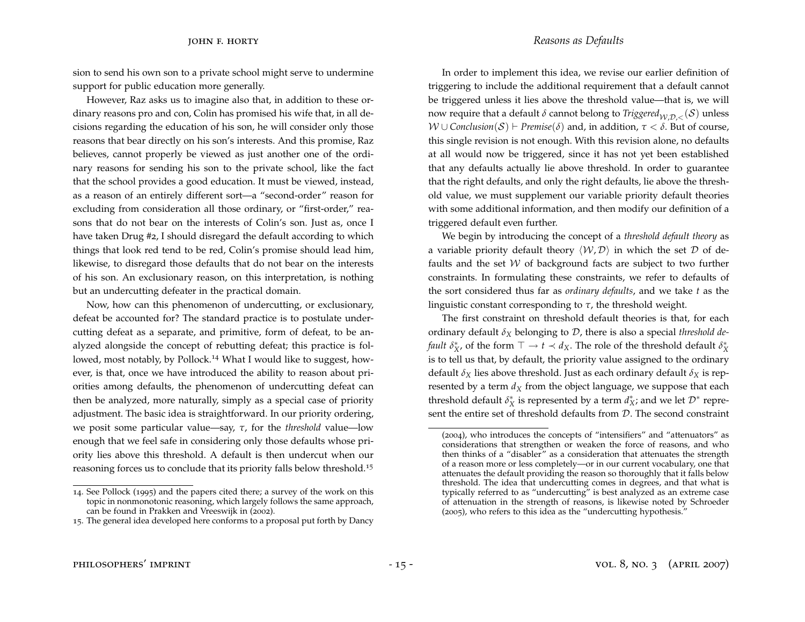sion to send his own son to a private school might serve to undermine support for public education more generally.

However, Raz asks us to imagine also that, in addition to these ordinary reasons pro and con, Colin has promised his wife that, in all decisions regarding the education of his son, he will consider only those reasons that bear directly on his son's interests. And this promise, Raz believes, cannot properly be viewed as just another one of the ordinary reasons for sending his son to the private school, like the fact that the school provides a good education. It must be viewed, instead, as a reason of an entirely different sort—a "second-order" reason for excluding from consideration all those ordinary, or "first-order," reasons that do not bear on the interests of Colin's son. Just as, once I have taken Drug #2, I should disregard the default according to which things that look red tend to be red, Colin's promise should lead him, likewise, to disregard those defaults that do not bear on the interests of his son. An exclusionary reason, on this interpretation, is nothing but an undercutting defeater in the practical domain.

Now, how can this phenomenon of undercutting, or exclusionary, defeat be accounted for? The standard practice is to postulate undercutting defeat as a separate, and primitive, form of defeat, to be analyzed alongside the concept of rebutting defeat; this practice is followed, most notably, by Pollock.<sup>14</sup> What I would like to suggest, however, is that, once we have introduced the ability to reason about priorities among defaults, the phenomenon of undercutting defeat can then be analyzed, more naturally, simply as a special case of priority adjustment. The basic idea is straightforward. In our priority ordering, we posit some particular value—say, *τ*, for the *threshold* value—low enough that we feel safe in considering only those defaults whose priority lies above this threshold. A default is then undercut when our reasoning forces us to conclude that its priority falls below threshold.<sup>15</sup>

In order to implement this idea, we revise our earlier definition of triggering to include the additional requirement that a default cannot be triggered unless it lies above the threshold value—that is, we will now require that a default  $\delta$  cannot belong to *Triggered*<sub>*W,D,* $\epsilon$ (*S*) unless</sub>  $W \cup$  *Conclusion*(S)  $\vdash$  *Premise*( $\delta$ ) and, in addition,  $\tau < \delta$ . But of course, this single revision is not enough. With this revision alone, no defaults at all would now be triggered, since it has not yet been established that any defaults actually lie above threshold. In order to guarantee that the right defaults, and only the right defaults, lie above the threshold value, we must supplement our variable priority default theories with some additional information, and then modify our definition of a triggered default even further.

We begin by introducing the concept of a *threshold default theory* as a variable priority default theory  $\langle W, \mathcal{D} \rangle$  in which the set D of defaults and the set  $W$  of background facts are subject to two further constraints. In formulating these constraints, we refer to defaults of the sort considered thus far as *ordinary defaults*, and we take *t* as the linguistic constant corresponding to *τ*, the threshold weight.

The first constraint on threshold default theories is that, for each ordinary default *δ<sup>X</sup>* belonging to D, there is also a special *threshold default*  $\delta^*_X$ , of the form  $\top \to t \prec d_X$ . The role of the threshold default  $\delta^*_X$ is to tell us that, by default, the priority value assigned to the ordinary default *δ<sup>X</sup>* lies above threshold. Just as each ordinary default *δ<sup>X</sup>* is represented by a term  $d<sub>X</sub>$  from the object language, we suppose that each threshold default  $\delta_X^*$  is represented by a term  $d_X^*$ ; and we let  $\mathcal{D}^*$  represent the entire set of threshold defaults from D. The second constraint

<sup>14</sup>. See Pollock ([1995](#page-27-11)) and the papers cited there; a survey of the work on this topic in nonmonotonic reasoning, which largely follows the same approach, can be found in Prakken and Vreeswijk in ([2002](#page-27-19)).

<sup>15</sup>. The general idea developed here conforms to a proposal put forth by Dancy

<sup>(</sup>[2004](#page-26-4)), who introduces the concepts of "intensifiers" and "attenuators" as considerations that strengthen or weaken the force of reasons, and who then thinks of a "disabler" as a consideration that attenuates the strength of a reason more or less completely—or in our current vocabulary, one that attenuates the default providing the reason so thoroughly that it falls below threshold. The idea that undercutting comes in degrees, and that what is typically referred to as "undercutting" is best analyzed as an extreme case of attenuation in the strength of reasons, is likewise noted by Schroeder ([2005](#page-27-20)), who refers to this idea as the "undercutting hypothesis."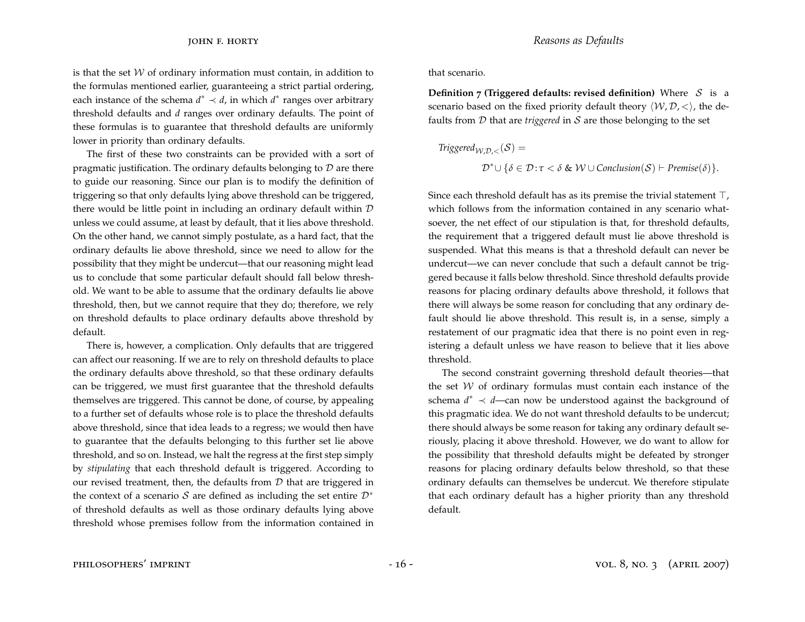is that the set  $W$  of ordinary information must contain, in addition to the formulas mentioned earlier, guaranteeing a strict partial ordering, each instance of the schema  $d^* \prec d$ , in which  $d^*$  ranges over arbitrary threshold defaults and *d* ranges over ordinary defaults. The point of these formulas is to guarantee that threshold defaults are uniformly lower in priority than ordinary defaults.

The first of these two constraints can be provided with a sort of pragmatic justification. The ordinary defaults belonging to  $D$  are there to guide our reasoning. Since our plan is to modify the definition of triggering so that only defaults lying above threshold can be triggered, there would be little point in including an ordinary default within  $D$ unless we could assume, at least by default, that it lies above threshold. On the other hand, we cannot simply postulate, as a hard fact, that the ordinary defaults lie above threshold, since we need to allow for the possibility that they might be undercut—that our reasoning might lead us to conclude that some particular default should fall below threshold. We want to be able to assume that the ordinary defaults lie above threshold, then, but we cannot require that they do; therefore, we rely on threshold defaults to place ordinary defaults above threshold by default.

There is, however, a complication. Only defaults that are triggered can affect our reasoning. If we are to rely on threshold defaults to place the ordinary defaults above threshold, so that these ordinary defaults can be triggered, we must first guarantee that the threshold defaults themselves are triggered. This cannot be done, of course, by appealing to a further set of defaults whose role is to place the threshold defaults above threshold, since that idea leads to a regress; we would then have to guarantee that the defaults belonging to this further set lie above threshold, and so on. Instead, we halt the regress at the first step simply by *stipulating* that each threshold default is triggered. According to our revised treatment, then, the defaults from  $D$  that are triggered in the context of a scenario S are defined as including the set entire  $\mathcal{D}^*$ of threshold defaults as well as those ordinary defaults lying above threshold whose premises follow from the information contained in

that scenario.

**Definition 7 (Triggered defaults: revised definition)** Where  $S$  is a scenario based on the fixed priority default theory  $\langle W, \mathcal{D}, \langle \rangle$ , the defaults from  $D$  that are *triggered* in  $S$  are those belonging to the set

*Triggered*<sub>*W*</sub> $_{D,<}$ (S) =

 $\mathcal{D}^* \cup \{\delta \in \mathcal{D} : \tau < \delta \& \mathcal{W} \cup \text{Conclusion}(\mathcal{S}) \vdash \text{Premise}(\delta)\}.$ 

Since each threshold default has as its premise the trivial statement  $\top$ , which follows from the information contained in any scenario whatsoever, the net effect of our stipulation is that, for threshold defaults, the requirement that a triggered default must lie above threshold is suspended. What this means is that a threshold default can never be undercut—we can never conclude that such a default cannot be triggered because it falls below threshold. Since threshold defaults provide reasons for placing ordinary defaults above threshold, it follows that there will always be some reason for concluding that any ordinary default should lie above threshold. This result is, in a sense, simply a restatement of our pragmatic idea that there is no point even in registering a default unless we have reason to believe that it lies above threshold.

The second constraint governing threshold default theories—that the set  $W$  of ordinary formulas must contain each instance of the schema  $d^* \prec d$ —can now be understood against the background of this pragmatic idea. We do not want threshold defaults to be undercut; there should always be some reason for taking any ordinary default seriously, placing it above threshold. However, we do want to allow for the possibility that threshold defaults might be defeated by stronger reasons for placing ordinary defaults below threshold, so that these ordinary defaults can themselves be undercut. We therefore stipulate that each ordinary default has a higher priority than any threshold default.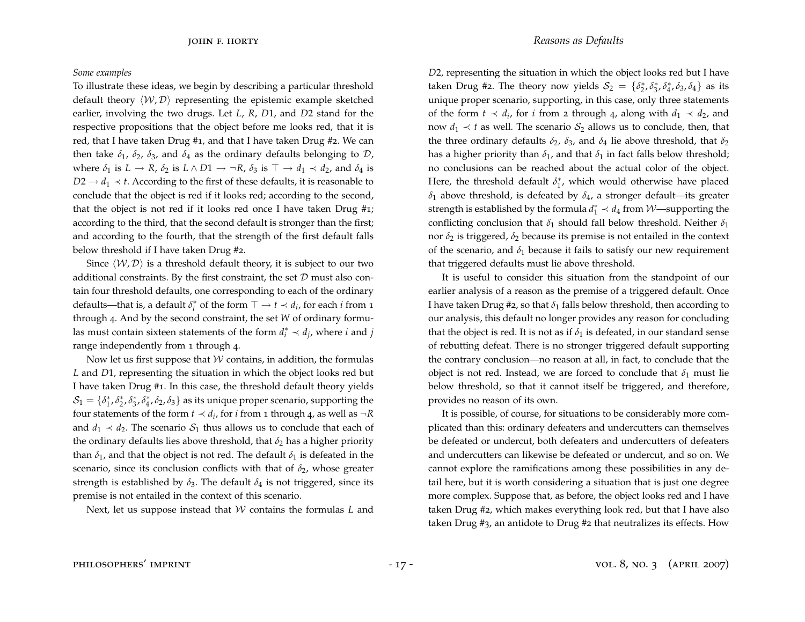#### *Some examples*

To illustrate these ideas, we begin by describing a particular threshold default theory  $\langle W, \mathcal{D} \rangle$  representing the epistemic example sketched earlier, involving the two drugs. Let *L*, *R*, *D*1, and *D*2 stand for the respective propositions that the object before me looks red, that it is red, that I have taken Drug #1, and that I have taken Drug #2. We can then take  $\delta_1$ ,  $\delta_2$ ,  $\delta_3$ , and  $\delta_4$  as the ordinary defaults belonging to  $\mathcal{D}$ , where  $\delta_1$  is  $L \to R$ ,  $\delta_2$  is  $L \wedge D1 \to \neg R$ ,  $\delta_3$  is  $\top \to d_1 \prec d_2$ , and  $\delta_4$  is  $D2 \rightarrow d_1 \prec t$ . According to the first of these defaults, it is reasonable to conclude that the object is red if it looks red; according to the second, that the object is not red if it looks red once I have taken Drug #1; according to the third, that the second default is stronger than the first; and according to the fourth, that the strength of the first default falls below threshold if I have taken Drug #2.

Since  $\langle W, \mathcal{D} \rangle$  is a threshold default theory, it is subject to our two additional constraints. By the first constraint, the set  $D$  must also contain four threshold defaults, one corresponding to each of the ordinary defaults—that is, a default  $\delta_i^*$  of the form  $\top \rightarrow t \prec d_i$ , for each *i* from 1 through 4. And by the second constraint, the set *W* of ordinary formulas must contain sixteen statements of the form  $d_i^* \prec d_j$ , where *i* and *j* range independently from 1 through 4.

Now let us first suppose that  $W$  contains, in addition, the formulas *L* and *D*1, representing the situation in which the object looks red but I have taken Drug #1. In this case, the threshold default theory yields  $\mathcal{S}_1 = \{\delta_1^*, \delta_2^*, \delta_3^*, \delta_4^*, \delta_2, \delta_3\}$  as its unique proper scenario, supporting the four statements of the form  $t \prec d_i$ , for *i* from 1 through 4, as well as  $\neg R$ and  $d_1 \prec d_2$ . The scenario  $S_1$  thus allows us to conclude that each of the ordinary defaults lies above threshold, that  $\delta_2$  has a higher priority than  $\delta_1$ , and that the object is not red. The default  $\delta_1$  is defeated in the scenario, since its conclusion conflicts with that of  $\delta_2$ , whose greater strength is established by  $\delta_3$ . The default  $\delta_4$  is not triggered, since its premise is not entailed in the context of this scenario.

Next, let us suppose instead that W contains the formulas *L* and

*D*2, representing the situation in which the object looks red but I have taken Drug #2. The theory now yields  $S_2 = \{\delta_2^*, \delta_3^*, \delta_4^*, \delta_3, \delta_4\}$  as its unique proper scenario, supporting, in this case, only three statements of the form  $t \prec d_i$ , for *i* from 2 through 4, along with  $d_1 \prec d_2$ , and now  $d_1 \prec t$  as well. The scenario  $S_2$  allows us to conclude, then, that the three ordinary defaults  $\delta_2$ ,  $\delta_3$ , and  $\delta_4$  lie above threshold, that  $\delta_2$ has a higher priority than  $\delta_1$ , and that  $\delta_1$  in fact falls below threshold; no conclusions can be reached about the actual color of the object. Here, the threshold default  $\delta_1^*$ , which would otherwise have placed *δ*<sup>1</sup> above threshold, is defeated by *δ*4, a stronger default—its greater strength is established by the formula  $d_1^* \prec d_4$  from  $\mathcal{W}$ —supporting the conflicting conclusion that  $\delta_1$  should fall below threshold. Neither  $\delta_1$ nor  $\delta_2$  is triggered,  $\delta_2$  because its premise is not entailed in the context of the scenario, and  $\delta_1$  because it fails to satisfy our new requirement that triggered defaults must lie above threshold.

It is useful to consider this situation from the standpoint of our earlier analysis of a reason as the premise of a triggered default. Once I have taken Drug #2, so that  $\delta_1$  falls below threshold, then according to our analysis, this default no longer provides any reason for concluding that the object is red. It is not as if  $\delta_1$  is defeated, in our standard sense of rebutting defeat. There is no stronger triggered default supporting the contrary conclusion—no reason at all, in fact, to conclude that the object is not red. Instead, we are forced to conclude that  $\delta_1$  must lie below threshold, so that it cannot itself be triggered, and therefore, provides no reason of its own.

It is possible, of course, for situations to be considerably more complicated than this: ordinary defeaters and undercutters can themselves be defeated or undercut, both defeaters and undercutters of defeaters and undercutters can likewise be defeated or undercut, and so on. We cannot explore the ramifications among these possibilities in any detail here, but it is worth considering a situation that is just one degree more complex. Suppose that, as before, the object looks red and I have taken Drug #2, which makes everything look red, but that I have also taken Drug #3, an antidote to Drug #2 that neutralizes its effects. How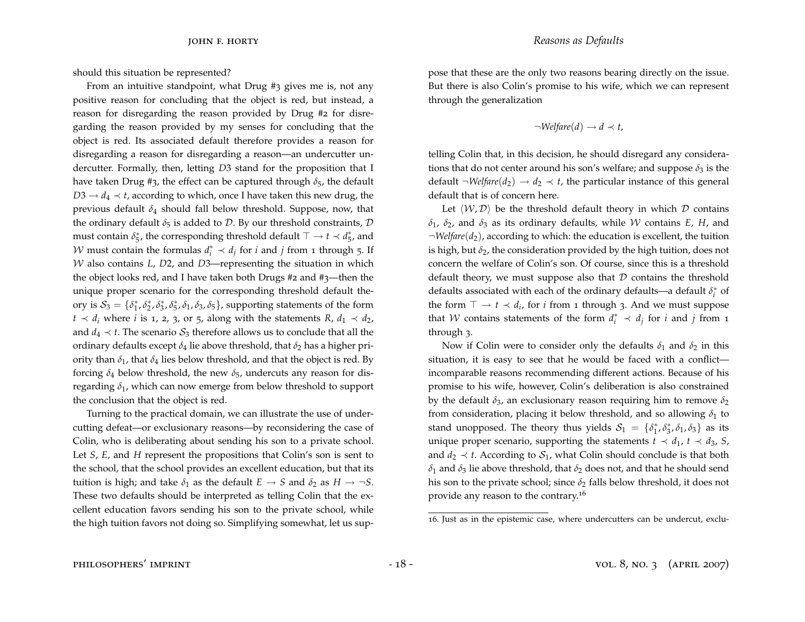should this situation be represented?

From an intuitive standpoint, what Drug #3 gives me is, not any positive reason for concluding that the object is red, but instead, a reason for disregarding the reason provided by Drug #2 for disregarding the reason provided by my senses for concluding that the object is red. Its associated default therefore provides a reason for disregarding a reason for disregarding a reason—an undercutter undercutter. Formally, then, letting *D*3 stand for the proposition that I have taken Drug #3, the effect can be captured through  $\delta_5$ , the default  $D3 \rightarrow d_4 \prec t$ , according to which, once I have taken this new drug, the previous default *δ*<sup>4</sup> should fall below threshold. Suppose, now, that the ordinary default  $\delta_5$  is added to D. By our threshold constraints, D must contain  $\delta_5^*$ , the corresponding threshold default  $\top \rightarrow t \prec d_5^*$ , and *W* must contain the formulas  $d_i^*$  ≺  $d_j$  for *i* and *j* from 1 through 5. If W also contains *L*, *D*2, and *D*3—representing the situation in which the object looks red, and I have taken both Drugs #2 and #3—then the unique proper scenario for the corresponding threshold default theory is  $S_3 = \{\delta_1^*, \delta_2^*, \delta_3^*, \delta_5^*, \delta_1, \delta_3, \delta_5\}$ , supporting statements of the form *t*  $\prec$  *d<sub>i</sub>* where *i* is 1, 2, 3, or 5, along with the statements *R*, *d*<sub>1</sub>  $\prec$  *d*<sub>2</sub>, and  $d_4 \prec t$ . The scenario  $S_3$  therefore allows us to conclude that all the ordinary defaults except *δ*<sup>4</sup> lie above threshold, that *δ*<sup>2</sup> has a higher priority than  $\delta_1$ , that  $\delta_4$  lies below threshold, and that the object is red. By forcing  $\delta_4$  below threshold, the new  $\delta_5$ , undercuts any reason for disregarding *δ*1, which can now emerge from below threshold to support the conclusion that the object is red.

Turning to the practical domain, we can illustrate the use of undercutting defeat—or exclusionary reasons—by reconsidering the case of Colin, who is deliberating about sending his son to a private school. Let *S*, *E*, and *H* represent the propositions that Colin's son is sent to the school, that the school provides an excellent education, but that its tuition is high; and take  $\delta_1$  as the default  $E \to S$  and  $\delta_2$  as  $H \to \neg S$ . These two defaults should be interpreted as telling Colin that the excellent education favors sending his son to the private school, while the high tuition favors not doing so. Simplifying somewhat, let us suppose that these are the only two reasons bearing directly on the issue. But there is also Colin's promise to his wife, which we can represent through the generalization

$$
\neg Welfare(d) \rightarrow d \prec t,
$$

telling Colin that, in this decision, he should disregard any considerations that do not center around his son's welfare; and suppose  $\delta_3$  is the default ¬*Welfare*( $d_2$ ) →  $d_2$   $\prec$  *t*, the particular instance of this general default that is of concern here.

Let  $\langle W, \mathcal{D} \rangle$  be the threshold default theory in which  $\mathcal D$  contains *δ*1, *δ*2, and *δ*<sup>3</sup> as its ordinary defaults, while W contains *E*, *H*, and ¬*Welfare*(*d*2), according to which: the education is excellent, the tuition is high, but  $\delta_2$ , the consideration provided by the high tuition, does not concern the welfare of Colin's son. Of course, since this is a threshold default theory, we must suppose also that  $D$  contains the threshold defaults associated with each of the ordinary defaults—a default *δ*∗ *<sup>i</sup>* of the form  $\top \rightarrow t \prec d_i$ , for *i* from 1 through 3. And we must suppose that W contains statements of the form  $d_i^* \prec d_j$  for *i* and *j* from 1 through 3.

Now if Colin were to consider only the defaults  $\delta_1$  and  $\delta_2$  in this situation, it is easy to see that he would be faced with a conflict incomparable reasons recommending different actions. Because of his promise to his wife, however, Colin's deliberation is also constrained by the default  $\delta_3$ , an exclusionary reason requiring him to remove  $\delta_2$ from consideration, placing it below threshold, and so allowing  $\delta_1$  to stand unopposed. The theory thus yields  $S_1 = \{\delta_1^*, \delta_3^*, \delta_1, \delta_3\}$  as its unique proper scenario, supporting the statements  $t \prec d_1$ ,  $t \prec d_3$ , *S*, and  $d_2 \prec t$ . According to  $S_1$ , what Colin should conclude is that both *δ*<sub>1</sub> and *δ*<sub>3</sub> lie above threshold, that *δ*<sub>2</sub> does not, and that he should send his son to the private school; since  $\delta_2$  falls below threshold, it does not provide any reason to the contrary. 16

<sup>16</sup>. Just as in the epistemic case, where undercutters can be undercut, exclu-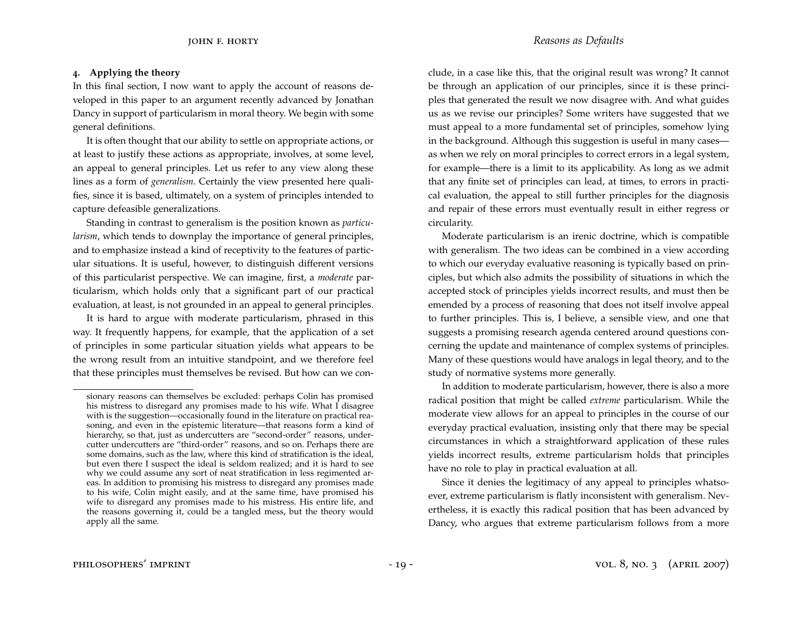#### **4. Applying the theory**

In this final section, I now want to apply the account of reasons developed in this paper to an argument recently advanced by Jonathan Dancy in support of particularism in moral theory. We begin with some general definitions.

It is often thought that our ability to settle on appropriate actions, or at least to justify these actions as appropriate, involves, at some level, an appeal to general principles. Let us refer to any view along these lines as a form of *generalism*. Certainly the view presented here qualifies, since it is based, ultimately, on a system of principles intended to capture defeasible generalizations.

Standing in contrast to generalism is the position known as *particularism*, which tends to downplay the importance of general principles, and to emphasize instead a kind of receptivity to the features of particular situations. It is useful, however, to distinguish different versions of this particularist perspective. We can imagine, first, a *moderate* particularism, which holds only that a significant part of our practical evaluation, at least, is not grounded in an appeal to general principles.

It is hard to argue with moderate particularism, phrased in this way. It frequently happens, for example, that the application of a set of principles in some particular situation yields what appears to be the wrong result from an intuitive standpoint, and we therefore feel that these principles must themselves be revised. But how can we conclude, in a case like this, that the original result was wrong? It cannot be through an application of our principles, since it is these principles that generated the result we now disagree with. And what guides us as we revise our principles? Some writers have suggested that we must appeal to a more fundamental set of principles, somehow lying in the background. Although this suggestion is useful in many cases as when we rely on moral principles to correct errors in a legal system, for example—there is a limit to its applicability. As long as we admit that any finite set of principles can lead, at times, to errors in practical evaluation, the appeal to still further principles for the diagnosis and repair of these errors must eventually result in either regress or circularity.

Moderate particularism is an irenic doctrine, which is compatible with generalism. The two ideas can be combined in a view according to which our everyday evaluative reasoning is typically based on principles, but which also admits the possibility of situations in which the accepted stock of principles yields incorrect results, and must then be emended by a process of reasoning that does not itself involve appeal to further principles. This is, I believe, a sensible view, and one that suggests a promising research agenda centered around questions concerning the update and maintenance of complex systems of principles. Many of these questions would have analogs in legal theory, and to the study of normative systems more generally.

In addition to moderate particularism, however, there is also a more radical position that might be called *extreme* particularism. While the moderate view allows for an appeal to principles in the course of our everyday practical evaluation, insisting only that there may be special circumstances in which a straightforward application of these rules yields incorrect results, extreme particularism holds that principles have no role to play in practical evaluation at all.

Since it denies the legitimacy of any appeal to principles whatsoever, extreme particularism is flatly inconsistent with generalism. Nevertheless, it is exactly this radical position that has been advanced by Dancy, who argues that extreme particularism follows from a more

sionary reasons can themselves be excluded: perhaps Colin has promised his mistress to disregard any promises made to his wife. What I disagree with is the suggestion—occasionally found in the literature on practical reasoning, and even in the epistemic literature—that reasons form a kind of hierarchy, so that, just as undercutters are "second-order" reasons, undercutter undercutters are "third-order" reasons, and so on. Perhaps there are some domains, such as the law, where this kind of stratification is the ideal, but even there I suspect the ideal is seldom realized; and it is hard to see why we could assume any sort of neat stratification in less regimented areas. In addition to promising his mistress to disregard any promises made to his wife, Colin might easily, and at the same time, have promised his wife to disregard any promises made to his mistress. His entire life, and the reasons governing it, could be a tangled mess, but the theory would apply all the same.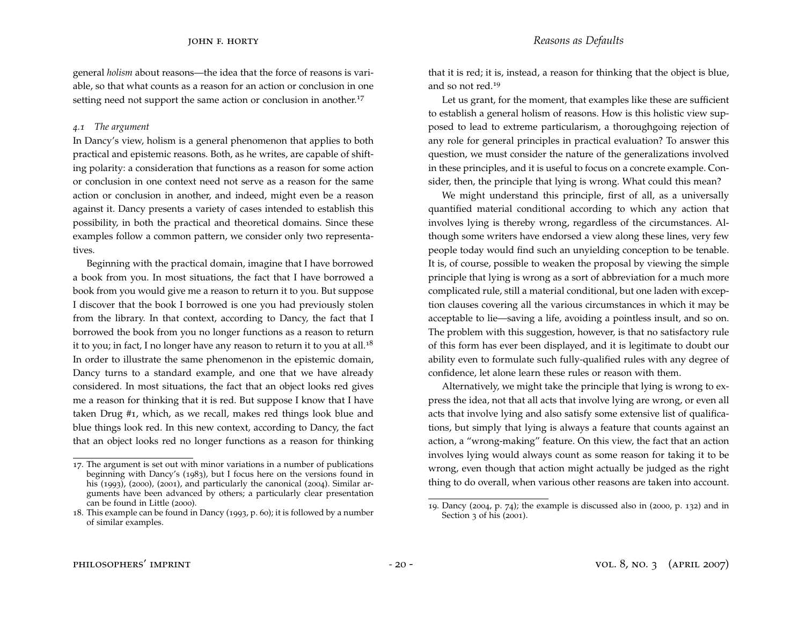general *holism* about reasons—the idea that the force of reasons is variable, so that what counts as a reason for an action or conclusion in one setting need not support the same action or conclusion in another.<sup>17</sup>

#### *4.1 The argument*

In Dancy's view, holism is a general phenomenon that applies to both practical and epistemic reasons. Both, as he writes, are capable of shifting polarity: a consideration that functions as a reason for some action or conclusion in one context need not serve as a reason for the same action or conclusion in another, and indeed, might even be a reason against it. Dancy presents a variety of cases intended to establish this possibility, in both the practical and theoretical domains. Since these examples follow a common pattern, we consider only two representatives.

Beginning with the practical domain, imagine that I have borrowed a book from you. In most situations, the fact that I have borrowed a book from you would give me a reason to return it to you. But suppose I discover that the book I borrowed is one you had previously stolen from the library. In that context, according to Dancy, the fact that I borrowed the book from you no longer functions as a reason to return it to you; in fact, I no longer have any reason to return it to you at all.<sup>18</sup> In order to illustrate the same phenomenon in the epistemic domain, Dancy turns to a standard example, and one that we have already considered. In most situations, the fact that an object looks red gives me a reason for thinking that it is red. But suppose I know that I have taken Drug #1, which, as we recall, makes red things look blue and blue things look red. In this new context, according to Dancy, the fact that an object looks red no longer functions as a reason for thinking that it is red; it is, instead, a reason for thinking that the object is blue, and so not red.<sup>19</sup>

Let us grant, for the moment, that examples like these are sufficient to establish a general holism of reasons. How is this holistic view supposed to lead to extreme particularism, a thoroughgoing rejection of any role for general principles in practical evaluation? To answer this question, we must consider the nature of the generalizations involved in these principles, and it is useful to focus on a concrete example. Consider, then, the principle that lying is wrong. What could this mean?

We might understand this principle, first of all, as a universally quantified material conditional according to which any action that involves lying is thereby wrong, regardless of the circumstances. Although some writers have endorsed a view along these lines, very few people today would find such an unyielding conception to be tenable. It is, of course, possible to weaken the proposal by viewing the simple principle that lying is wrong as a sort of abbreviation for a much more complicated rule, still a material conditional, but one laden with exception clauses covering all the various circumstances in which it may be acceptable to lie—saving a life, avoiding a pointless insult, and so on. The problem with this suggestion, however, is that no satisfactory rule of this form has ever been displayed, and it is legitimate to doubt our ability even to formulate such fully-qualified rules with any degree of confidence, let alone learn these rules or reason with them.

Alternatively, we might take the principle that lying is wrong to express the idea, not that all acts that involve lying are wrong, or even all acts that involve lying and also satisfy some extensive list of qualifications, but simply that lying is always a feature that counts against an action, a "wrong-making" feature. On this view, the fact that an action involves lying would always count as some reason for taking it to be wrong, even though that action might actually be judged as the right thing to do overall, when various other reasons are taken into account.

<sup>17</sup>. The argument is set out with minor variations in a number of publications beginning with Dancy's ([1983](#page-26-5)), but I focus here on the versions found in his ([1993](#page-26-6)), ([2000](#page-26-7)), ([2001](#page-26-8)), and particularly the canonical ([2004](#page-26-4)). Similar arguments have been advanced by others; a particularly clear presentation can be found in Little ([2000](#page-27-21)).

<sup>18</sup>. This example can be found in Dancy ([1993](#page-26-6), p. 60); it is followed by a number of similar examples.

<sup>19</sup>. Dancy ([2004](#page-26-4), p. 74); the example is discussed also in ([2000](#page-26-7), p. 132) and in Section 3 of his ([2001](#page-26-8)).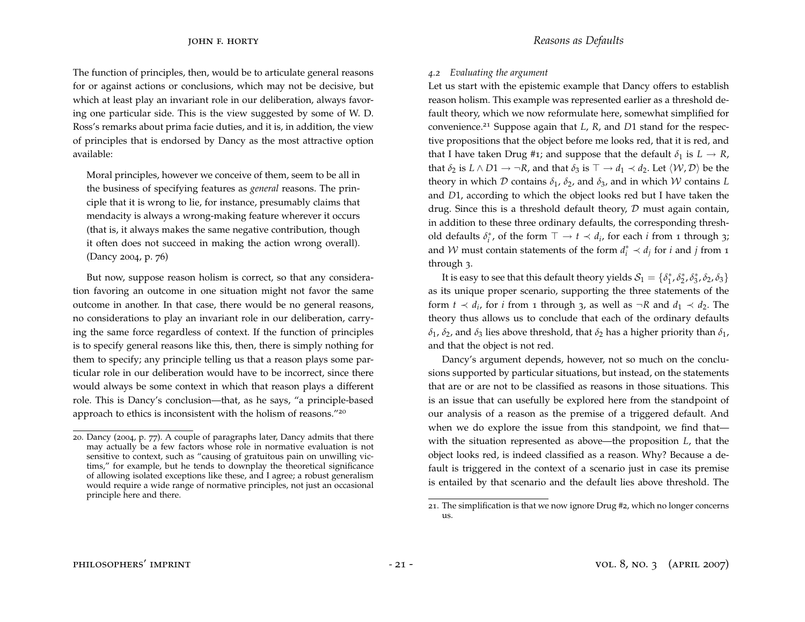The function of principles, then, would be to articulate general reasons for or against actions or conclusions, which may not be decisive, but which at least play an invariant role in our deliberation, always favoring one particular side. This is the view suggested by some of W. D. Ross's remarks about prima facie duties, and it is, in addition, the view of principles that is endorsed by Dancy as the most attractive option available:

Moral principles, however we conceive of them, seem to be all in the business of specifying features as *general* reasons. The principle that it is wrong to lie, for instance, presumably claims that mendacity is always a wrong-making feature wherever it occurs (that is, it always makes the same negative contribution, though it often does not succeed in making the action wrong overall). (Dancy [2004](#page-26-4), p. 76)

But now, suppose reason holism is correct, so that any consideration favoring an outcome in one situation might not favor the same outcome in another. In that case, there would be no general reasons, no considerations to play an invariant role in our deliberation, carrying the same force regardless of context. If the function of principles is to specify general reasons like this, then, there is simply nothing for them to specify; any principle telling us that a reason plays some particular role in our deliberation would have to be incorrect, since there would always be some context in which that reason plays a different role. This is Dancy's conclusion—that, as he says, "a principle-based approach to ethics is inconsistent with the holism of reasons."<sup>20</sup>

#### *4.2 Evaluating the argument*

Let us start with the epistemic example that Dancy offers to establish reason holism. This example was represented earlier as a threshold default theory, which we now reformulate here, somewhat simplified for convenience.<sup>21</sup> Suppose again that *L*, *R*, and *D*1 stand for the respective propositions that the object before me looks red, that it is red, and that I have taken Drug #1; and suppose that the default  $\delta_1$  is  $L \rightarrow R$ , that  $\delta_2$  is  $L \wedge D1 \rightarrow \neg R$ , and that  $\delta_3$  is  $\top \rightarrow d_1 \prec d_2$ . Let  $\langle W, \mathcal{D} \rangle$  be the theory in which D contains  $\delta_1$ ,  $\delta_2$ , and  $\delta_3$ , and in which W contains L and *D*1, according to which the object looks red but I have taken the drug. Since this is a threshold default theory,  $D$  must again contain, in addition to these three ordinary defaults, the corresponding threshold defaults  $\delta_i^*$ , of the form  $\top \to t \prec d_i$ , for each *i* from 1 through 3; and *W* must contain statements of the form  $d_i^* \prec d_j$  for *i* and *j* from 1 through 3.

It is easy to see that this default theory yields  $S_1 = \{\delta_1^*, \delta_2^*, \delta_3^*, \delta_2, \delta_3\}$ as its unique proper scenario, supporting the three statements of the form  $t \prec d_i$ , for *i* from 1 through 3, as well as  $\neg R$  and  $d_1 \prec d_2$ . The theory thus allows us to conclude that each of the ordinary defaults *δ*<sub>1</sub>, *δ*<sub>2</sub>, and *δ*<sub>3</sub> lies above threshold, that *δ*<sub>2</sub> has a higher priority than *δ*<sub>1</sub>, and that the object is not red.

Dancy's argument depends, however, not so much on the conclusions supported by particular situations, but instead, on the statements that are or are not to be classified as reasons in those situations. This is an issue that can usefully be explored here from the standpoint of our analysis of a reason as the premise of a triggered default. And when we do explore the issue from this standpoint, we find that with the situation represented as above—the proposition *L*, that the object looks red, is indeed classified as a reason. Why? Because a default is triggered in the context of a scenario just in case its premise is entailed by that scenario and the default lies above threshold. The

<sup>20</sup>. Dancy ([2004](#page-26-4), p. 77). A couple of paragraphs later, Dancy admits that there may actually be a few factors whose role in normative evaluation is not sensitive to context, such as "causing of gratuitous pain on unwilling victims," for example, but he tends to downplay the theoretical significance of allowing isolated exceptions like these, and I agree; a robust generalism would require a wide range of normative principles, not just an occasional principle here and there.

<sup>21</sup>. The simplification is that we now ignore Drug #2, which no longer concerns us.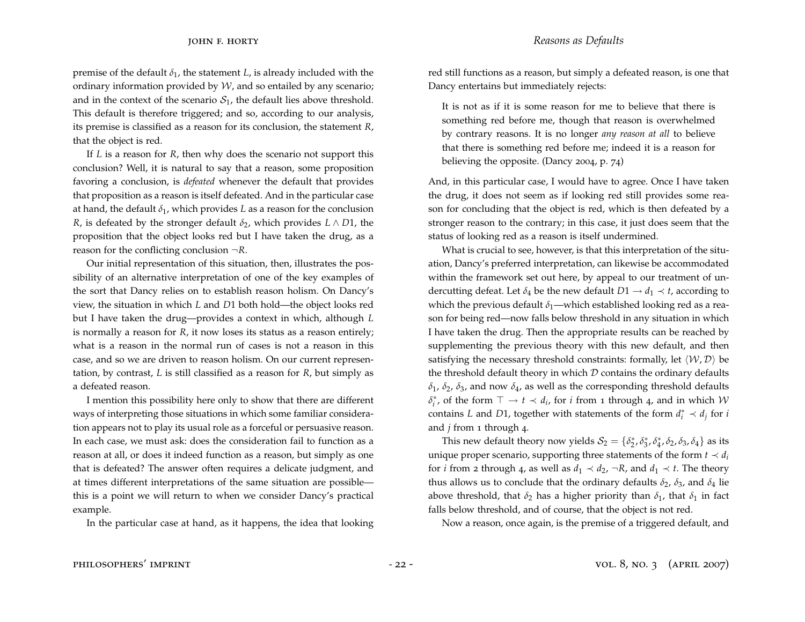john f. horty *Reasons as Defaults*

premise of the default *δ*1, the statement *L*, is already included with the ordinary information provided by  $W$ , and so entailed by any scenario; and in the context of the scenario  $S_1$ , the default lies above threshold. This default is therefore triggered; and so, according to our analysis, its premise is classified as a reason for its conclusion, the statement *R*, that the object is red.

If *L* is a reason for *R*, then why does the scenario not support this conclusion? Well, it is natural to say that a reason, some proposition favoring a conclusion, is *defeated* whenever the default that provides that proposition as a reason is itself defeated. And in the particular case at hand, the default *δ*1, which provides *L* as a reason for the conclusion *R*, is defeated by the stronger default  $\delta_2$ , which provides  $L \wedge D1$ , the proposition that the object looks red but I have taken the drug, as a reason for the conflicting conclusion ¬*R*.

Our initial representation of this situation, then, illustrates the possibility of an alternative interpretation of one of the key examples of the sort that Dancy relies on to establish reason holism. On Dancy's view, the situation in which *L* and *D*1 both hold—the object looks red but I have taken the drug—provides a context in which, although *L* is normally a reason for *R*, it now loses its status as a reason entirely; what is a reason in the normal run of cases is not a reason in this case, and so we are driven to reason holism. On our current representation, by contrast, *L* is still classified as a reason for *R*, but simply as a defeated reason.

I mention this possibility here only to show that there are different ways of interpreting those situations in which some familiar consideration appears not to play its usual role as a forceful or persuasive reason. In each case, we must ask: does the consideration fail to function as a reason at all, or does it indeed function as a reason, but simply as one that is defeated? The answer often requires a delicate judgment, and at times different interpretations of the same situation are possible this is a point we will return to when we consider Dancy's practical example.

In the particular case at hand, as it happens, the idea that looking

red still functions as a reason, but simply a defeated reason, is one that Dancy entertains but immediately rejects:

It is not as if it is some reason for me to believe that there is something red before me, though that reason is overwhelmed by contrary reasons. It is no longer *any reason at all* to believe that there is something red before me; indeed it is a reason for believing the opposite. (Dancy [2004](#page-26-4), p. 74)

And, in this particular case, I would have to agree. Once I have taken the drug, it does not seem as if looking red still provides some reason for concluding that the object is red, which is then defeated by a stronger reason to the contrary; in this case, it just does seem that the status of looking red as a reason is itself undermined.

What is crucial to see, however, is that this interpretation of the situation, Dancy's preferred interpretation, can likewise be accommodated within the framework set out here, by appeal to our treatment of undercutting defeat. Let  $\delta_4$  be the new default  $D1 \rightarrow d_1 \prec t$ , according to which the previous default  $\delta_1$ —which established looking red as a reason for being red—now falls below threshold in any situation in which I have taken the drug. Then the appropriate results can be reached by supplementing the previous theory with this new default, and then satisfying the necessary threshold constraints: formally, let  $\langle W, \mathcal{D} \rangle$  be the threshold default theory in which  $D$  contains the ordinary defaults *δ*1, *δ*2, *δ*3, and now *δ*4, as well as the corresponding threshold defaults  $\delta_i^*$ , of the form  $\top \to t \prec d_i$ , for *i* from 1 through 4, and in which  $\mathcal W$ contains *L* and *D*1, together with statements of the form  $d_i^* \prec d_j$  for *i* and *j* from 1 through 4.

This new default theory now yields  $\mathcal{S}_2 = \{\delta_2^*, \delta_3^*, \delta_4^*, \delta_2, \delta_3, \delta_4\}$  as its unique proper scenario, supporting three statements of the form  $t \prec d_i$ for *i* from 2 through 4, as well as  $d_1 \prec d_2$ ,  $\neg R$ , and  $d_1 \prec t$ . The theory thus allows us to conclude that the ordinary defaults  $\delta_2$ ,  $\delta_3$ , and  $\delta_4$  lie above threshold, that  $\delta_2$  has a higher priority than  $\delta_1$ , that  $\delta_1$  in fact falls below threshold, and of course, that the object is not red.

Now a reason, once again, is the premise of a triggered default, and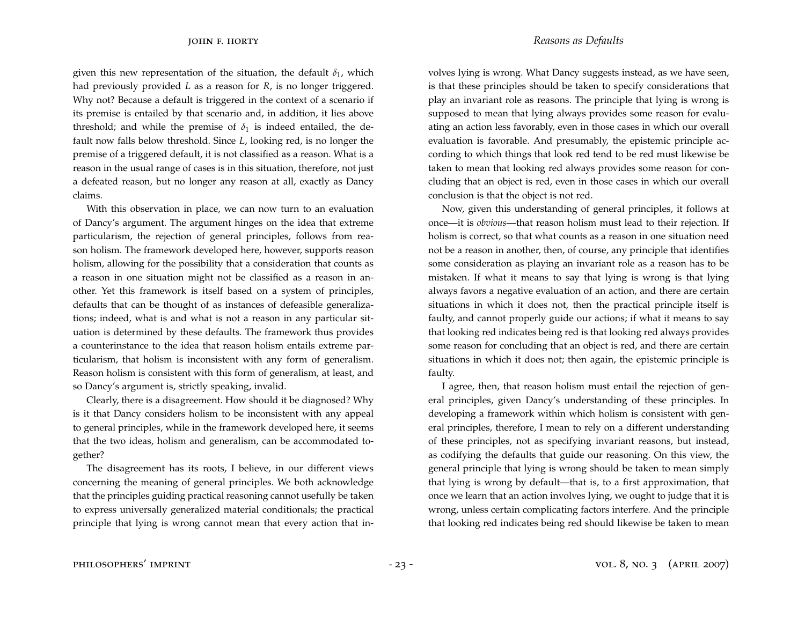given this new representation of the situation, the default  $\delta_1$ , which had previously provided *L* as a reason for *R*, is no longer triggered. Why not? Because a default is triggered in the context of a scenario if its premise is entailed by that scenario and, in addition, it lies above threshold; and while the premise of  $\delta_1$  is indeed entailed, the default now falls below threshold. Since *L*, looking red, is no longer the premise of a triggered default, it is not classified as a reason. What is a reason in the usual range of cases is in this situation, therefore, not just a defeated reason, but no longer any reason at all, exactly as Dancy claims.

With this observation in place, we can now turn to an evaluation of Dancy's argument. The argument hinges on the idea that extreme particularism, the rejection of general principles, follows from reason holism. The framework developed here, however, supports reason holism, allowing for the possibility that a consideration that counts as a reason in one situation might not be classified as a reason in another. Yet this framework is itself based on a system of principles, defaults that can be thought of as instances of defeasible generalizations; indeed, what is and what is not a reason in any particular situation is determined by these defaults. The framework thus provides a counterinstance to the idea that reason holism entails extreme particularism, that holism is inconsistent with any form of generalism. Reason holism is consistent with this form of generalism, at least, and so Dancy's argument is, strictly speaking, invalid.

Clearly, there is a disagreement. How should it be diagnosed? Why is it that Dancy considers holism to be inconsistent with any appeal to general principles, while in the framework developed here, it seems that the two ideas, holism and generalism, can be accommodated together?

The disagreement has its roots, I believe, in our different views concerning the meaning of general principles. We both acknowledge that the principles guiding practical reasoning cannot usefully be taken to express universally generalized material conditionals; the practical principle that lying is wrong cannot mean that every action that involves lying is wrong. What Dancy suggests instead, as we have seen, is that these principles should be taken to specify considerations that play an invariant role as reasons. The principle that lying is wrong is supposed to mean that lying always provides some reason for evaluating an action less favorably, even in those cases in which our overall evaluation is favorable. And presumably, the epistemic principle according to which things that look red tend to be red must likewise be taken to mean that looking red always provides some reason for concluding that an object is red, even in those cases in which our overall conclusion is that the object is not red.

Now, given this understanding of general principles, it follows at once—it is *obvious*—that reason holism must lead to their rejection. If holism is correct, so that what counts as a reason in one situation need not be a reason in another, then, of course, any principle that identifies some consideration as playing an invariant role as a reason has to be mistaken. If what it means to say that lying is wrong is that lying always favors a negative evaluation of an action, and there are certain situations in which it does not, then the practical principle itself is faulty, and cannot properly guide our actions; if what it means to say that looking red indicates being red is that looking red always provides some reason for concluding that an object is red, and there are certain situations in which it does not; then again, the epistemic principle is faulty.

I agree, then, that reason holism must entail the rejection of general principles, given Dancy's understanding of these principles. In developing a framework within which holism is consistent with general principles, therefore, I mean to rely on a different understanding of these principles, not as specifying invariant reasons, but instead, as codifying the defaults that guide our reasoning. On this view, the general principle that lying is wrong should be taken to mean simply that lying is wrong by default—that is, to a first approximation, that once we learn that an action involves lying, we ought to judge that it is wrong, unless certain complicating factors interfere. And the principle that looking red indicates being red should likewise be taken to mean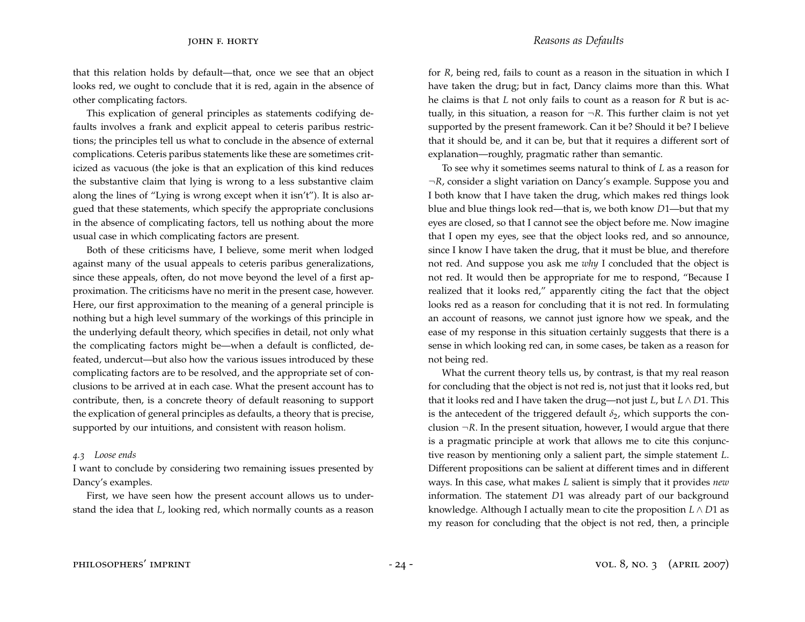that this relation holds by default—that, once we see that an object looks red, we ought to conclude that it is red, again in the absence of other complicating factors.

This explication of general principles as statements codifying defaults involves a frank and explicit appeal to ceteris paribus restrictions; the principles tell us what to conclude in the absence of external complications. Ceteris paribus statements like these are sometimes criticized as vacuous (the joke is that an explication of this kind reduces the substantive claim that lying is wrong to a less substantive claim along the lines of "Lying is wrong except when it isn't"). It is also argued that these statements, which specify the appropriate conclusions in the absence of complicating factors, tell us nothing about the more usual case in which complicating factors are present.

Both of these criticisms have, I believe, some merit when lodged against many of the usual appeals to ceteris paribus generalizations, since these appeals, often, do not move beyond the level of a first approximation. The criticisms have no merit in the present case, however. Here, our first approximation to the meaning of a general principle is nothing but a high level summary of the workings of this principle in the underlying default theory, which specifies in detail, not only what the complicating factors might be—when a default is conflicted, defeated, undercut—but also how the various issues introduced by these complicating factors are to be resolved, and the appropriate set of conclusions to be arrived at in each case. What the present account has to contribute, then, is a concrete theory of default reasoning to support the explication of general principles as defaults, a theory that is precise, supported by our intuitions, and consistent with reason holism.

#### *4.3 Loose ends*

I want to conclude by considering two remaining issues presented by Dancy's examples.

First, we have seen how the present account allows us to understand the idea that *L*, looking red, which normally counts as a reason

for *R*, being red, fails to count as a reason in the situation in which I have taken the drug; but in fact, Dancy claims more than this. What he claims is that *L* not only fails to count as a reason for *R* but is actually, in this situation, a reason for  $\neg R$ . This further claim is not yet supported by the present framework. Can it be? Should it be? I believe that it should be, and it can be, but that it requires a different sort of explanation—roughly, pragmatic rather than semantic.

To see why it sometimes seems natural to think of *L* as a reason for ¬*R*, consider a slight variation on Dancy's example. Suppose you and I both know that I have taken the drug, which makes red things look blue and blue things look red—that is, we both know *D*1—but that my eyes are closed, so that I cannot see the object before me. Now imagine that I open my eyes, see that the object looks red, and so announce, since I know I have taken the drug, that it must be blue, and therefore not red. And suppose you ask me *why* I concluded that the object is not red. It would then be appropriate for me to respond, "Because I realized that it looks red," apparently citing the fact that the object looks red as a reason for concluding that it is not red. In formulating an account of reasons, we cannot just ignore how we speak, and the ease of my response in this situation certainly suggests that there is a sense in which looking red can, in some cases, be taken as a reason for not being red.

What the current theory tells us, by contrast, is that my real reason for concluding that the object is not red is, not just that it looks red, but that it looks red and I have taken the drug—not just *L*, but *L* ∧ *D*1. This is the antecedent of the triggered default  $\delta_2$ , which supports the conclusion  $\neg R$ . In the present situation, however, I would argue that there is a pragmatic principle at work that allows me to cite this conjunctive reason by mentioning only a salient part, the simple statement *L*. Different propositions can be salient at different times and in different ways. In this case, what makes *L* salient is simply that it provides *new* information. The statement *D*1 was already part of our background knowledge. Although I actually mean to cite the proposition *L* ∧ *D*1 as my reason for concluding that the object is not red, then, a principle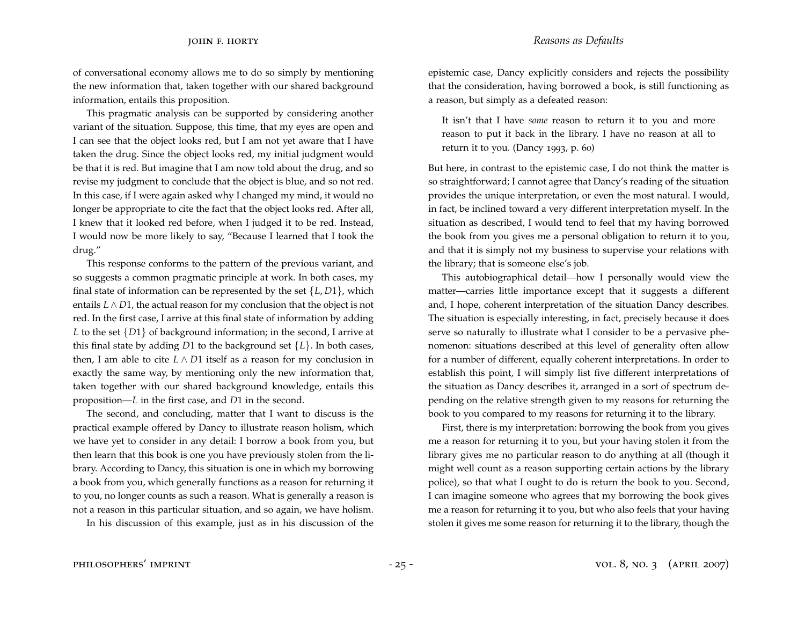of conversational economy allows me to do so simply by mentioning the new information that, taken together with our shared background information, entails this proposition.

This pragmatic analysis can be supported by considering another variant of the situation. Suppose, this time, that my eyes are open and I can see that the object looks red, but I am not yet aware that I have taken the drug. Since the object looks red, my initial judgment would be that it is red. But imagine that I am now told about the drug, and so revise my judgment to conclude that the object is blue, and so not red. In this case, if I were again asked why I changed my mind, it would no longer be appropriate to cite the fact that the object looks red. After all, I knew that it looked red before, when I judged it to be red. Instead, I would now be more likely to say, "Because I learned that I took the drug."

This response conforms to the pattern of the previous variant, and so suggests a common pragmatic principle at work. In both cases, my final state of information can be represented by the set {*L*, *D*1}, which entails  $L \wedge D1$ , the actual reason for my conclusion that the object is not red. In the first case, I arrive at this final state of information by adding *L* to the set  $\{D1\}$  of background information; in the second, I arrive at this final state by adding *D*1 to the background set {*L*}. In both cases, then, I am able to cite  $L \wedge D1$  itself as a reason for my conclusion in exactly the same way, by mentioning only the new information that, taken together with our shared background knowledge, entails this proposition—*L* in the first case, and *D*1 in the second.

The second, and concluding, matter that I want to discuss is the practical example offered by Dancy to illustrate reason holism, which we have yet to consider in any detail: I borrow a book from you, but then learn that this book is one you have previously stolen from the library. According to Dancy, this situation is one in which my borrowing a book from you, which generally functions as a reason for returning it to you, no longer counts as such a reason. What is generally a reason is not a reason in this particular situation, and so again, we have holism.

In his discussion of this example, just as in his discussion of the

epistemic case, Dancy explicitly considers and rejects the possibility that the consideration, having borrowed a book, is still functioning as a reason, but simply as a defeated reason:

It isn't that I have *some* reason to return it to you and more reason to put it back in the library. I have no reason at all to return it to you. (Dancy [1993](#page-26-6), p. 60)

But here, in contrast to the epistemic case, I do not think the matter is so straightforward; I cannot agree that Dancy's reading of the situation provides the unique interpretation, or even the most natural. I would, in fact, be inclined toward a very different interpretation myself. In the situation as described, I would tend to feel that my having borrowed the book from you gives me a personal obligation to return it to you, and that it is simply not my business to supervise your relations with the library; that is someone else's job.

This autobiographical detail—how I personally would view the matter—carries little importance except that it suggests a different and, I hope, coherent interpretation of the situation Dancy describes. The situation is especially interesting, in fact, precisely because it does serve so naturally to illustrate what I consider to be a pervasive phenomenon: situations described at this level of generality often allow for a number of different, equally coherent interpretations. In order to establish this point, I will simply list five different interpretations of the situation as Dancy describes it, arranged in a sort of spectrum depending on the relative strength given to my reasons for returning the book to you compared to my reasons for returning it to the library.

First, there is my interpretation: borrowing the book from you gives me a reason for returning it to you, but your having stolen it from the library gives me no particular reason to do anything at all (though it might well count as a reason supporting certain actions by the library police), so that what I ought to do is return the book to you. Second, I can imagine someone who agrees that my borrowing the book gives me a reason for returning it to you, but who also feels that your having stolen it gives me some reason for returning it to the library, though the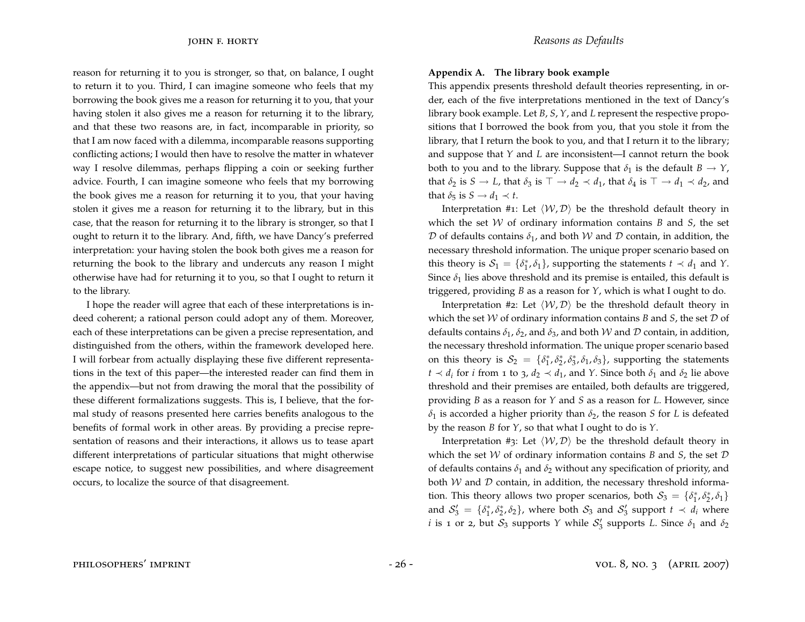reason for returning it to you is stronger, so that, on balance, I ought to return it to you. Third, I can imagine someone who feels that my borrowing the book gives me a reason for returning it to you, that your having stolen it also gives me a reason for returning it to the library, and that these two reasons are, in fact, incomparable in priority, so that I am now faced with a dilemma, incomparable reasons supporting conflicting actions; I would then have to resolve the matter in whatever way I resolve dilemmas, perhaps flipping a coin or seeking further advice. Fourth, I can imagine someone who feels that my borrowing the book gives me a reason for returning it to you, that your having stolen it gives me a reason for returning it to the library, but in this case, that the reason for returning it to the library is stronger, so that I ought to return it to the library. And, fifth, we have Dancy's preferred interpretation: your having stolen the book both gives me a reason for returning the book to the library and undercuts any reason I might otherwise have had for returning it to you, so that I ought to return it to the library.

I hope the reader will agree that each of these interpretations is indeed coherent; a rational person could adopt any of them. Moreover, each of these interpretations can be given a precise representation, and distinguished from the others, within the framework developed here. I will forbear from actually displaying these five different representations in the text of this paper—the interested reader can find them in the appendix—but not from drawing the moral that the possibility of these different formalizations suggests. This is, I believe, that the formal study of reasons presented here carries benefits analogous to the benefits of formal work in other areas. By providing a precise representation of reasons and their interactions, it allows us to tease apart different interpretations of particular situations that might otherwise escape notice, to suggest new possibilities, and where disagreement occurs, to localize the source of that disagreement.

#### **Appendix A. The library book example**

This appendix presents threshold default theories representing, in order, each of the five interpretations mentioned in the text of Dancy's library book example. Let *B*, *S*, *Y*, and *L* represent the respective propositions that I borrowed the book from you, that you stole it from the library, that I return the book to you, and that I return it to the library; and suppose that *Y* and *L* are inconsistent—I cannot return the book both to you and to the library. Suppose that  $\delta_1$  is the default  $B \to Y$ , that  $\delta_2$  is  $S \to L$ , that  $\delta_3$  is  $\top \to d_2 \prec d_1$ , that  $\delta_4$  is  $\top \to d_1 \prec d_2$ , and that  $\delta_5$  is  $S \rightarrow d_1 \prec t$ .

Interpretation #1: Let  $\langle W, \mathcal{D} \rangle$  be the threshold default theory in which the set W of ordinary information contains *B* and *S*, the set D of defaults contains  $\delta_1$ , and both W and D contain, in addition, the necessary threshold information. The unique proper scenario based on this theory is  $S_1 = \{\delta_1^*, \delta_1\}$ , supporting the statements  $t \prec d_1$  and *Y*. Since  $\delta_1$  lies above threshold and its premise is entailed, this default is triggered, providing *B* as a reason for *Y*, which is what I ought to do.

Interpretation #2: Let  $\langle W, \mathcal{D} \rangle$  be the threshold default theory in which the set W of ordinary information contains *B* and *S*, the set D of defaults contains  $\delta_1$ ,  $\delta_2$ , and  $\delta_3$ , and both W and D contain, in addition, the necessary threshold information. The unique proper scenario based on this theory is  $S_2 = \{\delta_1^*, \delta_2^*, \delta_3^*, \delta_1, \delta_3\}$ , supporting the statements *t* ≺ *d<sub>i</sub>* for *i* from 1 to 3, *d*<sub>2</sub> ≺ *d*<sub>1</sub>, and *Y*. Since both  $\delta_1$  and  $\delta_2$  lie above threshold and their premises are entailed, both defaults are triggered, providing *B* as a reason for *Y* and *S* as a reason for *L*. However, since *δ*<sub>1</sub> is accorded a higher priority than *δ*<sub>2</sub>, the reason *S* for *L* is defeated by the reason *B* for *Y*, so that what I ought to do is *Y*.

Interpretation #3: Let  $\langle W, \mathcal{D} \rangle$  be the threshold default theory in which the set  $W$  of ordinary information contains  $B$  and  $S$ , the set  $D$ of defaults contains  $\delta_1$  and  $\delta_2$  without any specification of priority, and both  $W$  and  $D$  contain, in addition, the necessary threshold information. This theory allows two proper scenarios, both  $S_3 = \{\delta_1^*, \delta_2^*, \delta_1\}$ and  $S'_3 = \{\delta_1^*, \delta_2^*, \delta_2\}$ , where both  $S_3$  and  $S'_3$  support  $t \prec d_i$  where *i* is 1 or 2, but  $S_3$  supports *Y* while  $S'_3$  supports *L*. Since  $\delta_1$  and  $\delta_2$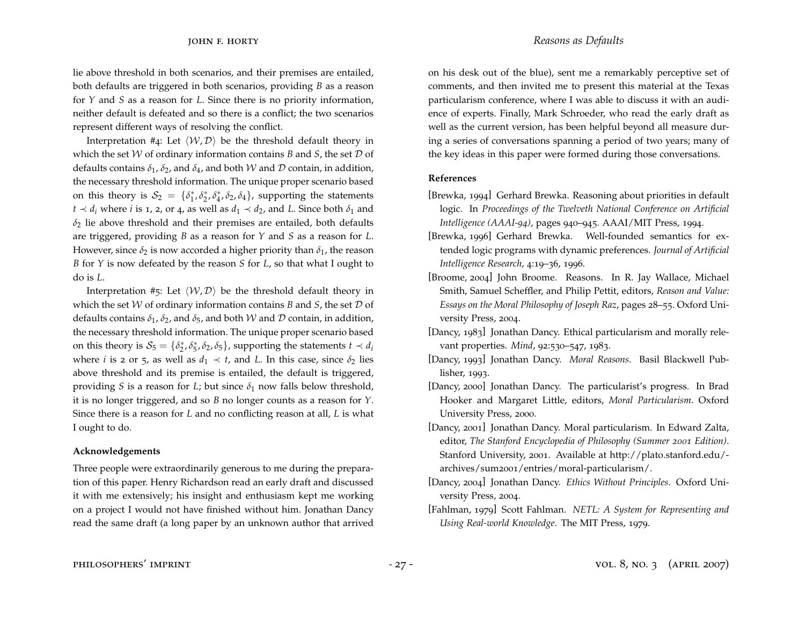lie above threshold in both scenarios, and their premises are entailed, both defaults are triggered in both scenarios, providing *B* as a reason for *Y* and *S* as a reason for *L*. Since there is no priority information, neither default is defeated and so there is a conflict; the two scenarios represent different ways of resolving the conflict.

Interpretation #4: Let  $\langle W, \mathcal{D} \rangle$  be the threshold default theory in which the set W of ordinary information contains *B* and *S*, the set D of defaults contains  $\delta_1$ ,  $\delta_2$ , and  $\delta_4$ , and both W and D contain, in addition, the necessary threshold information. The unique proper scenario based on this theory is  $S_2 = \{\delta_1^*, \delta_2^*, \delta_4^*, \delta_2, \delta_4\}$ , supporting the statements  $t \prec d_i$  where *i* is 1, 2, or 4, as well as  $d_1 \prec d_2$ , and *L*. Since both  $\delta_1$  and  $\delta_2$  lie above threshold and their premises are entailed, both defaults are triggered, providing *B* as a reason for *Y* and *S* as a reason for *L*. However, since  $\delta_2$  is now accorded a higher priority than  $\delta_1$ , the reason *B* for *Y* is now defeated by the reason *S* for *L*, so that what I ought to do is *L*.

Interpretation #5: Let  $\langle W, \mathcal{D} \rangle$  be the threshold default theory in which the set  $W$  of ordinary information contains *B* and *S*, the set  $D$  of defaults contains  $\delta_1$ ,  $\delta_2$ , and  $\delta_5$ , and both W and D contain, in addition, the necessary threshold information. The unique proper scenario based on this theory is  $S_5 = \{\delta_2^*, \delta_5^*, \delta_2, \delta_5\}$ , supporting the statements  $t \prec d_i$ where *i* is 2 or 5, as well as  $d_1 \prec t$ , and *L*. In this case, since  $\delta_2$  lies above threshold and its premise is entailed, the default is triggered, providing *S* is a reason for *L*; but since  $\delta_1$  now falls below threshold, it is no longer triggered, and so *B* no longer counts as a reason for *Y*. Since there is a reason for *L* and no conflicting reason at all, *L* is what I ought to do.

#### **Acknowledgements**

Three people were extraordinarily generous to me during the preparation of this paper. Henry Richardson read an early draft and discussed it with me extensively; his insight and enthusiasm kept me working on a project I would not have finished without him. Jonathan Dancy read the same draft (a long paper by an unknown author that arrived

on his desk out of the blue), sent me a remarkably perceptive set of comments, and then invited me to present this material at the Texas particularism conference, where I was able to discuss it with an audience of experts. Finally, Mark Schroeder, who read the early draft as well as the current version, has been helpful beyond all measure during a series of conversations spanning a period of two years; many of the key ideas in this paper were formed during those conversations.

#### **References**

- <span id="page-26-1"></span>[Brewka, 1994] Gerhard Brewka. Reasoning about priorities in default logic. In *Proceedings of the Twelveth National Conference on Artificial Intelligence (AAAI-94)*, pages 940–945. AAAI/MIT Press, 1994.
- <span id="page-26-2"></span>[Brewka, 1996] Gerhard Brewka. Well-founded semantics for extended logic programs with dynamic preferences. *Journal of Artificial Intelligence Research*, 4:19–36, 1996.
- <span id="page-26-0"></span>[Broome, 2004] John Broome. Reasons. In R. Jay Wallace, Michael Smith, Samuel Scheffler, and Philip Pettit, editors, *Reason and Value: Essays on the Moral Philosophy of Joseph Raz*, pages 28–55. Oxford University Press, 2004.
- <span id="page-26-5"></span>[Dancy, 1983] Jonathan Dancy. Ethical particularism and morally relevant properties. *Mind*, 92:530–547, 1983.
- <span id="page-26-6"></span>[Dancy, 1993] Jonathan Dancy. *Moral Reasons*. Basil Blackwell Publisher, 1993.
- <span id="page-26-7"></span>[Dancy, 2000] Jonathan Dancy. The particularist's progress. In Brad Hooker and Margaret Little, editors, *Moral Particularism*. Oxford University Press, 2000.
- <span id="page-26-8"></span>[Dancy, 2001] Jonathan Dancy. Moral particularism. In Edward Zalta, editor, *The Stanford Encyclopedia of Philosophy (Summer 2001 Edition)*. Stanford University, 2001. Available at http://plato.stanford.edu/ archives/sum2001/entries/moral-particularism/.
- <span id="page-26-4"></span>[Dancy, 2004] Jonathan Dancy. *Ethics Without Principles*. Oxford University Press, 2004.
- <span id="page-26-3"></span>[Fahlman, 1979] Scott Fahlman. *NETL: A System for Representing and Using Real-world Knowledge*. The MIT Press, 1979.